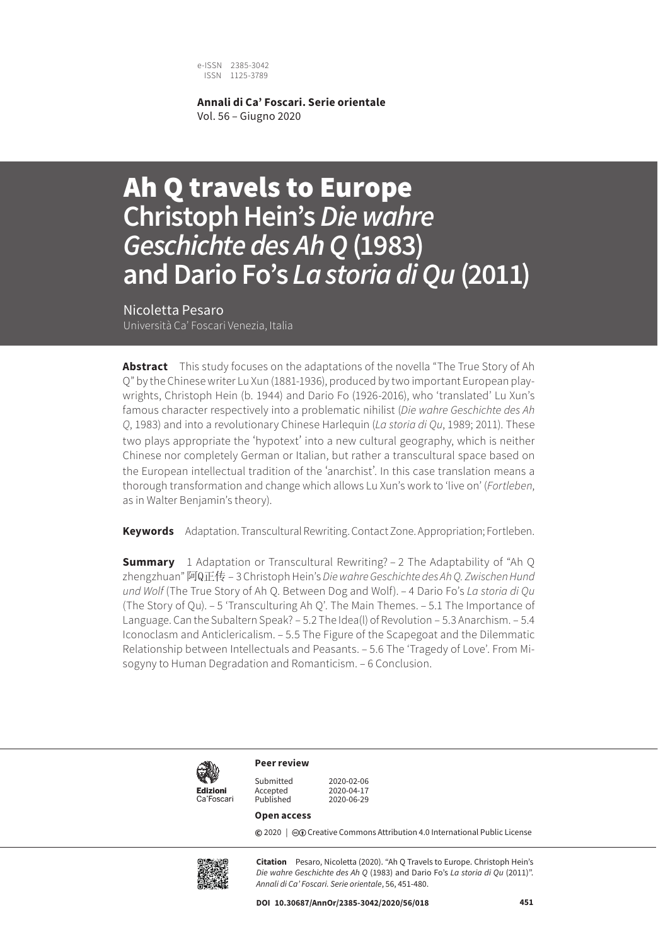e-ISSN 2385-3042 ISSN 1125-3789

**Annali di Ca' Foscari. Serie orientale** Vol. 56 – Giugno 2020

# Ah Q travels to Europe **Christoph Hein's** *Die wahre Geschichte des Ah Q* **(1983) and Dario Fo's** *La storia di Qu* **(2011)**

Nicoletta Pesaro Università Ca' Foscari Venezia, Italia

**Abstract** This study focuses on the adaptations of the novella "The True Story of Ah Q" by the Chinese writer Lu Xun (1881-1936), produced by two important European playwrights, Christoph Hein (b. 1944) and Dario Fo (1926-2016), who 'translated' Lu Xun's famous character respectively into a problematic nihilist (*Die wahre Geschichte des Ah Q*, 1983) and into a revolutionary Chinese Harlequin (*La storia di Qu*, 1989; 2011). These two plays appropriate the 'hypotext' into a new cultural geography, which is neither Chinese nor completely German or Italian, but rather a transcultural space based on the European intellectual tradition of the 'anarchist'. In this case translation means a thorough transformation and change which allows Lu Xun's work to 'live on' (*Fortleben*, as in Walter Benjamin's theory).

**Keywords** Adaptation. Transcultural Rewriting. Contact Zone. Appropriation; Fortleben.

**Summary** 1 Adaptation or Transcultural Rewriting? – 2 The Adaptability of "Ah Q zhengzhuan"阿Q正传 – 3 Christoph Hein's *Die wahre Geschichte des Ah Q. Zwischen Hund und Wolf* (The True Story of Ah Q. Between Dog and Wolf). – 4 Dario Fo's *La storia di Qu* (The Story of Qu). – 5 'Transculturing Ah Q'. The Main Themes. – 5.1 The Importance of Language. Can the Subaltern Speak? – 5.2 The Idea(l) of Revolution – 5.3 Anarchism. – 5.4 Iconoclasm and Anticlericalism. – 5.5 The Figure of the Scapegoat and the Dilemmatic Relationship between Intellectuals and Peasants. – 5.6 The 'Tragedy of Love'. From Misogyny to Human Degradation and Romanticism. – 6 Conclusion.



Submitted 2020-02-06<br>Accepted 2020-04-17

2020-06-29

#### **Open access**

**Peer review**

Accepted<br>Published

**©** 2020 | ©**O** Creative Commons Attribution 4.0 International Public License



**Citation** Pesaro, Nicoletta (2020). "Ah Q Travels to Europe. Christoph Hein's *Die wahre Geschichte des Ah Q* (1983) and Dario Fo's *La storia di Qu* (2011)". *Annali di Ca' Foscari. Serie orientale*, 56, 451-480.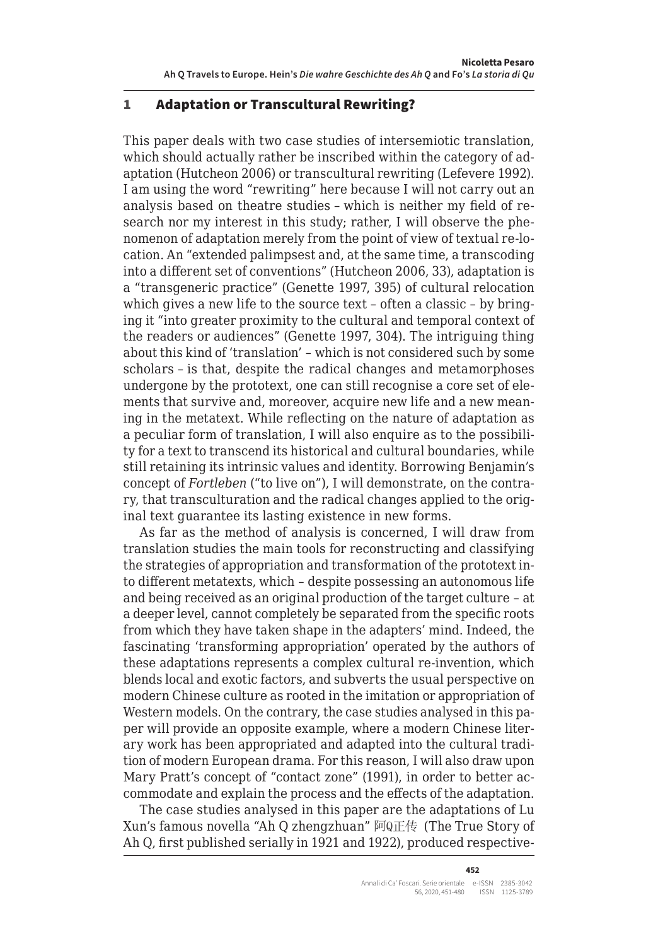#### 1 Adaptation or Transcultural Rewriting?

This paper deals with two case studies of intersemiotic translation, which should actually rather be inscribed within the category of adaptation (Hutcheon 2006) or transcultural rewriting (Lefevere 1992). I am using the word "rewriting" here because I will not carry out an analysis based on theatre studies – which is neither my field of research nor my interest in this study; rather, I will observe the phenomenon of adaptation merely from the point of view of textual re-location. An "extended palimpsest and, at the same time, a transcoding into a different set of conventions" (Hutcheon 2006, 33), adaptation is a "transgeneric practice" (Genette 1997, 395) of cultural relocation which gives a new life to the source text – often a classic – by bringing it "into greater proximity to the cultural and temporal context of the readers or audiences" (Genette 1997, 304). The intriguing thing about this kind of 'translation' – which is not considered such by some scholars – is that, despite the radical changes and metamorphoses undergone by the prototext, one can still recognise a core set of elements that survive and, moreover, acquire new life and a new meaning in the metatext. While reflecting on the nature of adaptation as a peculiar form of translation, I will also enquire as to the possibility for a text to transcend its historical and cultural boundaries, while still retaining its intrinsic values and identity. Borrowing Benjamin's concept of *Fortleben* ("to live on"), I will demonstrate, on the contrary, that transculturation and the radical changes applied to the original text guarantee its lasting existence in new forms.

As far as the method of analysis is concerned, I will draw from translation studies the main tools for reconstructing and classifying the strategies of appropriation and transformation of the prototext into different metatexts, which – despite possessing an autonomous life and being received as an original production of the target culture – at a deeper level, cannot completely be separated from the specific roots from which they have taken shape in the adapters' mind. Indeed, the fascinating 'transforming appropriation' operated by the authors of these adaptations represents a complex cultural re-invention, which blends local and exotic factors, and subverts the usual perspective on modern Chinese culture as rooted in the imitation or appropriation of Western models. On the contrary, the case studies analysed in this paper will provide an opposite example, where a modern Chinese literary work has been appropriated and adapted into the cultural tradition of modern European drama. For this reason, I will also draw upon Mary Pratt's concept of "contact zone" (1991), in order to better accommodate and explain the process and the effects of the adaptation.

The case studies analysed in this paper are the adaptations of Lu Xun's famous novella "Ah Q zhengzhuan" 阿Q正传 (The True Story of Ah Q, first published serially in 1921 and 1922), produced respective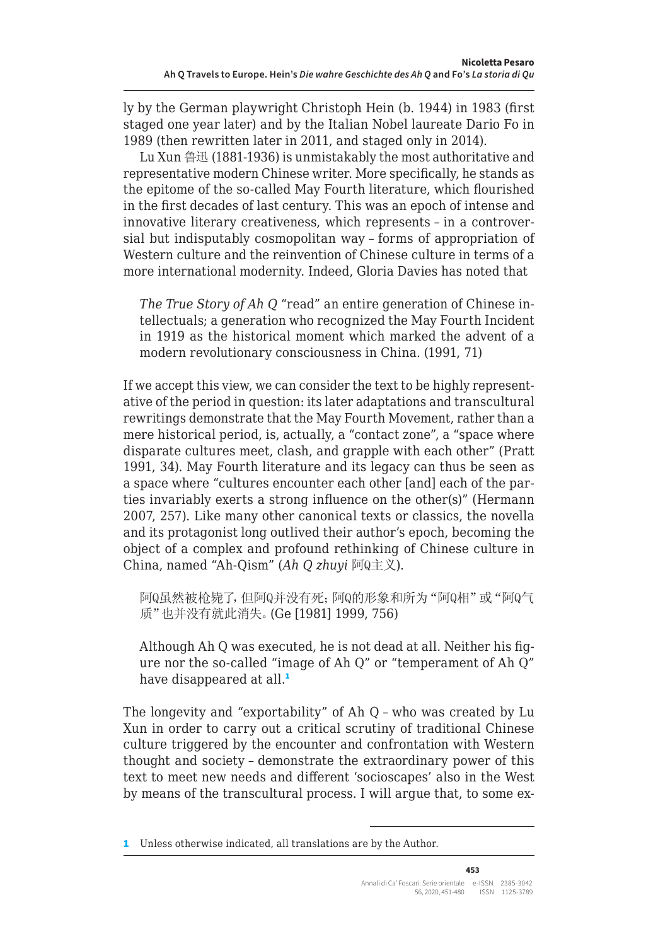ly by the German playwright Christoph Hein (b. 1944) in 1983 (first staged one year later) and by the Italian Nobel laureate Dario Fo in 1989 (then rewritten later in 2011, and staged only in 2014).

Lu Xun 鲁迅 (1881-1936) is unmistakably the most authoritative and representative modern Chinese writer. More specifically, he stands as the epitome of the so-called May Fourth literature, which flourished in the first decades of last century. This was an epoch of intense and innovative literary creativeness, which represents – in a controversial but indisputably cosmopolitan way – forms of appropriation of Western culture and the reinvention of Chinese culture in terms of a more international modernity. Indeed, Gloria Davies has noted that

*The True Story of Ah Q* "read" an entire generation of Chinese intellectuals; a generation who recognized the May Fourth Incident in 1919 as the historical moment which marked the advent of a modern revolutionary consciousness in China. (1991, 71)

If we accept this view, we can consider the text to be highly representative of the period in question: its later adaptations and transcultural rewritings demonstrate that the May Fourth Movement, rather than a mere historical period, is, actually, a "contact zone", a "space where disparate cultures meet, clash, and grapple with each other" (Pratt 1991, 34). May Fourth literature and its legacy can thus be seen as a space where "cultures encounter each other [and] each of the parties invariably exerts a strong influence on the other(s)" (Hermann 2007, 257). Like many other canonical texts or classics, the novella and its protagonist long outlived their author's epoch, becoming the object of a complex and profound rethinking of Chinese culture in China, named "Ah-Qism" (*Ah Q zhuyi* 阿Q主义).

阿Q虽然被枪毙了,但阿Q并没有死;阿Q的形象和所为"阿Q相"或"阿Q气 质"也并没有就此消失。(Ge [1981] 1999, 756)

Although Ah Q was executed, he is not dead at all. Neither his figure nor the so-called "image of Ah Q" or "temperament of Ah Q" have disappeared at all.<sup>1</sup>

The longevity and "exportability" of Ah Q – who was created by Lu Xun in order to carry out a critical scrutiny of traditional Chinese culture triggered by the encounter and confrontation with Western thought and society – demonstrate the extraordinary power of this text to meet new needs and different 'socioscapes' also in the West by means of the transcultural process. I will argue that, to some ex-

<sup>1</sup> Unless otherwise indicated, all translations are by the Author.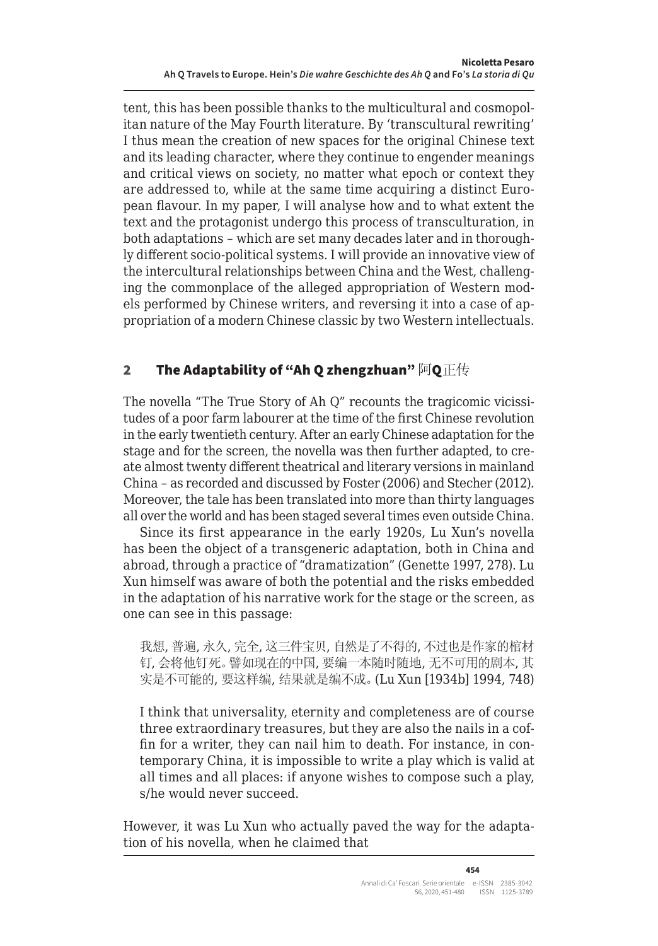tent, this has been possible thanks to the multicultural and cosmopolitan nature of the May Fourth literature. By 'transcultural rewriting' I thus mean the creation of new spaces for the original Chinese text and its leading character, where they continue to engender meanings and critical views on society, no matter what epoch or context they are addressed to, while at the same time acquiring a distinct European flavour. In my paper, I will analyse how and to what extent the text and the protagonist undergo this process of transculturation, in both adaptations – which are set many decades later and in thoroughly different socio-political systems. I will provide an innovative view of the intercultural relationships between China and the West, challenging the commonplace of the alleged appropriation of Western models performed by Chinese writers, and reversing it into a case of appropriation of a modern Chinese classic by two Western intellectuals.

# 2 The Adaptability of "Ah Q zhengzhuan"  $\overline{M}$ Q $\overline{\mathbb{E}}$

The novella "The True Story of Ah Q" recounts the tragicomic vicissitudes of a poor farm labourer at the time of the first Chinese revolution in the early twentieth century. After an early Chinese adaptation for the stage and for the screen, the novella was then further adapted, to create almost twenty different theatrical and literary versions in mainland China – as recorded and discussed by Foster (2006) and Stecher (2012). Moreover, the tale has been translated into more than thirty languages all over the world and has been staged several times even outside China.

Since its first appearance in the early 1920s, Lu Xun's novella has been the object of a transgeneric adaptation, both in China and abroad, through a practice of "dramatization" (Genette 1997, 278). Lu Xun himself was aware of both the potential and the risks embedded in the adaptation of his narrative work for the stage or the screen, as one can see in this passage:

我想, 普遍, 永久, 完全, 这三件宝贝, 自然是了不得的, 不过也是作家的棺材 钉, 会将他钉死。譬如现在的中国, 要编一本随时随地, 无不可用的剧本, 其 实是不可能的, 要这样编, 结果就是编不成。(Lu Xun [1934b] 1994, 748)

I think that universality, eternity and completeness are of course three extraordinary treasures, but they are also the nails in a coffin for a writer, they can nail him to death. For instance, in contemporary China, it is impossible to write a play which is valid at all times and all places: if anyone wishes to compose such a play, s/he would never succeed.

However, it was Lu Xun who actually paved the way for the adaptation of his novella, when he claimed that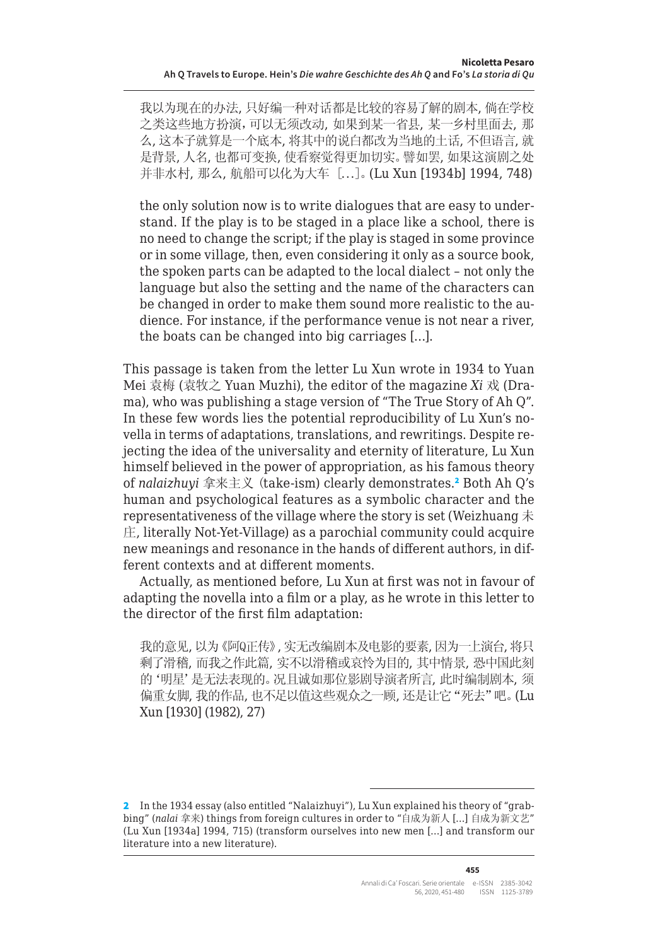我以为现在的办法, 只好编一种对话都是比较的容易了解的剧本, 倘在学校 之类这些地方扮演,可以无须改动, 如果到某一省县, 某一乡村里面去, 那 么, 这本子就算是一个底本, 将其中的说白都改为当地的土话, 不但语言, 就 是背景, 人名, 也都可变换, 使看察觉得更加切实。譬如罢, 如果这演剧之处 并非水村, 那么, 航船可以化为大车 [...]。(Lu Xun [1934b] 1994, 748)

the only solution now is to write dialogues that are easy to understand. If the play is to be staged in a place like a school, there is no need to change the script; if the play is staged in some province or in some village, then, even considering it only as a source book, the spoken parts can be adapted to the local dialect – not only the language but also the setting and the name of the characters can be changed in order to make them sound more realistic to the audience. For instance, if the performance venue is not near a river, the boats can be changed into big carriages […].

This passage is taken from the letter Lu Xun wrote in 1934 to Yuan Mei 袁梅 (袁牧之 Yuan Muzhi), the editor of the magazine *Xi* 戏 (Drama), who was publishing a stage version of "The True Story of Ah Q". In these few words lies the potential reproducibility of Lu Xun's novella in terms of adaptations, translations, and rewritings. Despite rejecting the idea of the universality and eternity of literature, Lu Xun himself believed in the power of appropriation, as his famous theory of *nalaizhuyi* 拿来主义 (take-ism) clearly demonstrates.<sup>2</sup> Both Ah Q's human and psychological features as a symbolic character and the representativeness of the village where the story is set (Weizhuang  $\ddot{\text{F}}$ ) 庄, literally Not-Yet-Village) as a parochial community could acquire new meanings and resonance in the hands of different authors, in different contexts and at different moments.

Actually, as mentioned before, Lu Xun at first was not in favour of adapting the novella into a film or a play, as he wrote in this letter to the director of the first film adaptation:

我的意见, 以为《阿Q正传》, 实无改编剧本及电影的要素, 因为一上演台, 将只 剩了滑稽, 而我之作此篇, 实不以滑稽或哀怜为目的, 其中情景, 恐中国此刻 的'明星'是无法表现的。况且诚如那位影剧导演者所言, 此时编制剧本, 须 偏重女脚, 我的作品, 也不足以值这些观众之一顾, 还是让它"死去"吧。(Lu Xun [1930] (1982), 27)

**455**

<sup>2</sup> In the 1934 essay (also entitled "Nalaizhuyi"), Lu Xun explained his theory of "grabbing" (*nalai* 拿来) things from foreign cultures in order to "自成为新人 […] 自成为新文艺" (Lu Xun [1934a] 1994, 715) (transform ourselves into new men […] and transform our literature into a new literature).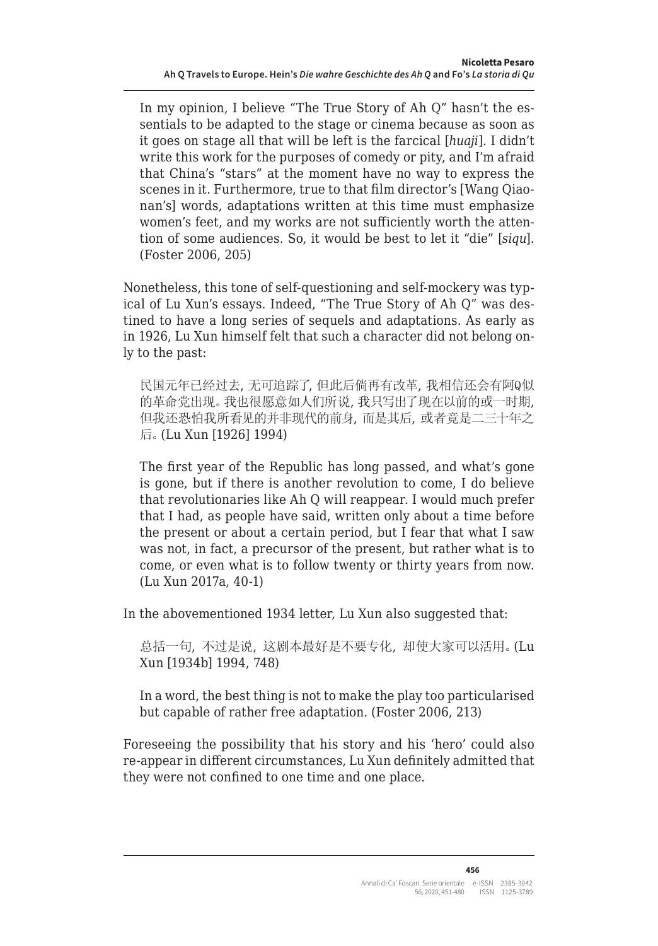In my opinion, I believe "The True Story of Ah Q" hasn't the essentials to be adapted to the stage or cinema because as soon as it goes on stage all that will be left is the farcical [*huaji*]. I didn't write this work for the purposes of comedy or pity, and I'm afraid that China's "stars" at the moment have no way to express the scenes in it. Furthermore, true to that film director's [Wang Qiaonan's] words, adaptations written at this time must emphasize women's feet, and my works are not sufficiently worth the attention of some audiences. So, it would be best to let it "die" [*siqu*]. (Foster 2006, 205)

Nonetheless, this tone of self-questioning and self-mockery was typical of Lu Xun's essays. Indeed, "The True Story of Ah Q" was destined to have a long series of sequels and adaptations. As early as in 1926, Lu Xun himself felt that such a character did not belong only to the past:

民国元年已经过去, 无可追踪了, 但此后倘再有改革, 我相信还会有阿Q似 的革命党出现。我也很愿意如人们所说, 我只写出了现在以前的或一时期, 但我还恐怕我所看见的并非现代的前身, 而是其后, 或者竟是二三十年之 后。(Lu Xun [1926] 1994)

The first year of the Republic has long passed, and what's gone is gone, but if there is another revolution to come, I do believe that revolutionaries like Ah Q will reappear. I would much prefer that I had, as people have said, written only about a time before the present or about a certain period, but I fear that what I saw was not, in fact, a precursor of the present, but rather what is to come, or even what is to follow twenty or thirty years from now. (Lu Xun 2017a, 40-1)

In the abovementioned 1934 letter, Lu Xun also suggested that:

总括一句, 不过是说, 这剧本最好是不要专化, 却使大家可以活用。(Lu Xun [1934b] 1994, 748)

In a word, the best thing is not to make the play too particularised but capable of rather free adaptation. (Foster 2006, 213)

Foreseeing the possibility that his story and his 'hero' could also re-appear in different circumstances, Lu Xun definitely admitted that they were not confined to one time and one place.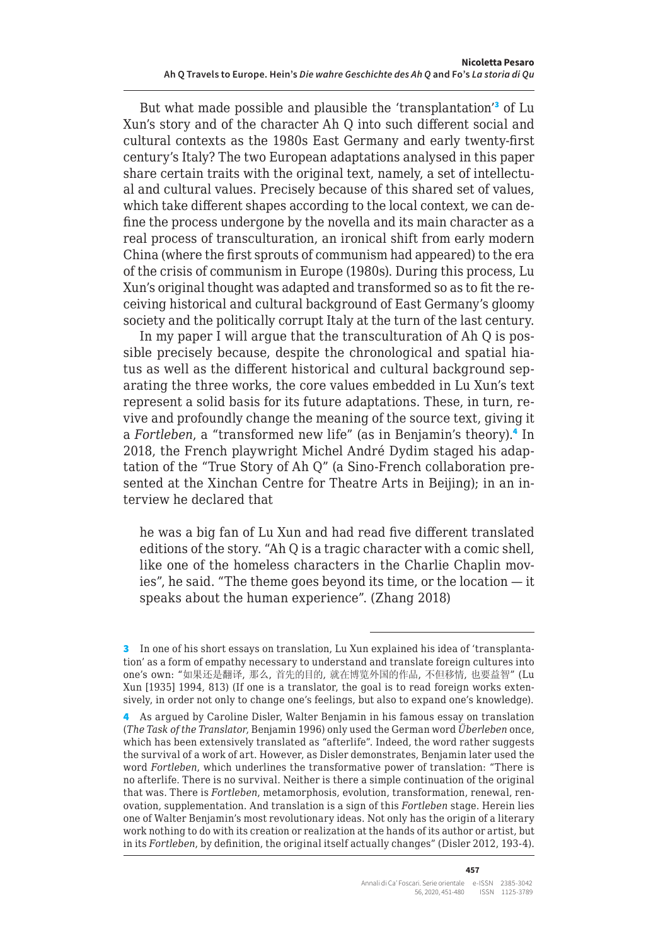But what made possible and plausible the 'transplantation'<sup>3</sup> of Lu Xun's story and of the character Ah Q into such different social and cultural contexts as the 1980s East Germany and early twenty-first century's Italy? The two European adaptations analysed in this paper share certain traits with the original text, namely, a set of intellectual and cultural values. Precisely because of this shared set of values, which take different shapes according to the local context, we can define the process undergone by the novella and its main character as a real process of transculturation, an ironical shift from early modern China (where the first sprouts of communism had appeared) to the era of the crisis of communism in Europe (1980s). During this process, Lu Xun's original thought was adapted and transformed so as to fit the receiving historical and cultural background of East Germany's gloomy society and the politically corrupt Italy at the turn of the last century.

In my paper I will argue that the transculturation of Ah Q is possible precisely because, despite the chronological and spatial hiatus as well as the different historical and cultural background separating the three works, the core values embedded in Lu Xun's text represent a solid basis for its future adaptations. These, in turn, revive and profoundly change the meaning of the source text, giving it a Fortleben, a "transformed new life" (as in Benjamin's theory).<sup>4</sup> In 2018, the French playwright Michel André Dydim staged his adaptation of the "True Story of Ah Q" (a Sino-French collaboration presented at the Xinchan Centre for Theatre Arts in Beijing); in an interview he declared that

he was a big fan of Lu Xun and had read five different translated editions of the story. "Ah Q is a tragic character with a comic shell, like one of the homeless characters in the Charlie Chaplin movies", he said. "The theme goes beyond its time, or the location — it speaks about the human experience". (Zhang 2018)

<sup>3</sup> In one of his short essays on translation, Lu Xun explained his idea of 'transplantation' as a form of empathy necessary to understand and translate foreign cultures into one's own: "如果还是翻译, 那么, 首先的目的, 就在博览外国的作品, 不但移情, 也要益智" (Lu Xun [1935] 1994, 813) (If one is a translator, the goal is to read foreign works extensively, in order not only to change one's feelings, but also to expand one's knowledge).

<sup>4</sup> As argued by Caroline Disler, Walter Benjamin in his famous essay on translation (*The Task of the Translator*, Benjamin 1996) only used the German word *Überleben* once, which has been extensively translated as "afterlife". Indeed, the word rather suggests the survival of a work of art. However, as Disler demonstrates, Benjamin later used the word *Fortleben*, which underlines the transformative power of translation: "There is no afterlife. There is no survival. Neither is there a simple continuation of the original that was. There is *Fortleben*, metamorphosis, evolution, transformation, renewal, renovation, supplementation. And translation is a sign of this *Fortleben* stage. Herein lies one of Walter Benjamin's most revolutionary ideas. Not only has the origin of a literary work nothing to do with its creation or realization at the hands of its author or artist, but in its *Fortleben*, by definition, the original itself actually changes" (Disler 2012, 193-4).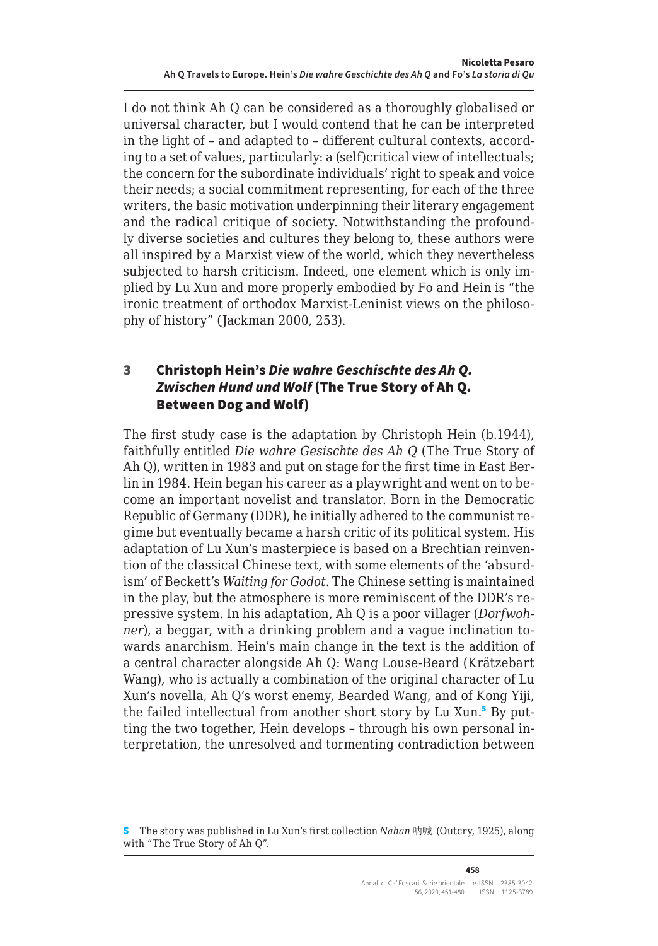I do not think Ah Q can be considered as a thoroughly globalised or universal character, but I would contend that he can be interpreted in the light of – and adapted to – different cultural contexts, according to a set of values, particularly: a (self)critical view of intellectuals; the concern for the subordinate individuals' right to speak and voice their needs; a social commitment representing, for each of the three writers, the basic motivation underpinning their literary engagement and the radical critique of society. Notwithstanding the profoundly diverse societies and cultures they belong to, these authors were all inspired by a Marxist view of the world, which they nevertheless subjected to harsh criticism. Indeed, one element which is only implied by Lu Xun and more properly embodied by Fo and Hein is "the ironic treatment of orthodox Marxist-Leninist views on the philosophy of history" (Jackman 2000, 253).

#### 3 Christoph Hein's *Die wahre Geschischte des Ah Q. Zwischen Hund und Wolf* (The True Story of Ah Q. Between Dog and Wolf)

The first study case is the adaptation by Christoph Hein (b.1944), faithfully entitled *Die wahre Gesischte des Ah Q* (The True Story of Ah Q), written in 1983 and put on stage for the first time in East Berlin in 1984. Hein began his career as a playwright and went on to become an important novelist and translator. Born in the Democratic Republic of Germany (DDR), he initially adhered to the communist regime but eventually became a harsh critic of its political system. His adaptation of Lu Xun's masterpiece is based on a Brechtian reinvention of the classical Chinese text, with some elements of the 'absurdism' of Beckett's *Waiting for Godot*. The Chinese setting is maintained in the play, but the atmosphere is more reminiscent of the DDR's repressive system. In his adaptation, Ah Q is a poor villager (*Dorfwohner*), a beggar, with a drinking problem and a vague inclination towards anarchism. Hein's main change in the text is the addition of a central character alongside Ah Q: Wang Louse-Beard (Krätzebart Wang), who is actually a combination of the original character of Lu Xun's novella, Ah Q's worst enemy, Bearded Wang, and of Kong Yiji, the failed intellectual from another short story by Lu Xun.<sup>5</sup> By putting the two together, Hein develops – through his own personal interpretation, the unresolved and tormenting contradiction between

<sup>5</sup> The story was published in Lu Xun's first collection *Nahan* 呐喊 (Outcry, 1925), along with "The True Story of Ah Q".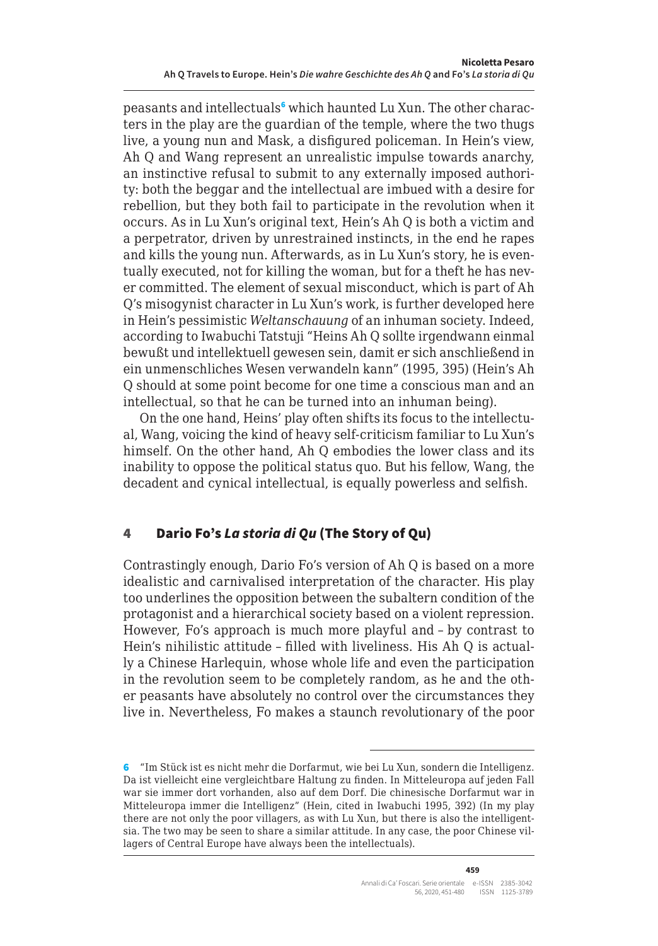peasants and intellectuals<sup>6</sup> which haunted Lu Xun. The other characters in the play are the guardian of the temple, where the two thugs live, a young nun and Mask, a disfigured policeman. In Hein's view, Ah Q and Wang represent an unrealistic impulse towards anarchy, an instinctive refusal to submit to any externally imposed authority: both the beggar and the intellectual are imbued with a desire for rebellion, but they both fail to participate in the revolution when it occurs. As in Lu Xun's original text, Hein's Ah Q is both a victim and a perpetrator, driven by unrestrained instincts, in the end he rapes and kills the young nun. Afterwards, as in Lu Xun's story, he is eventually executed, not for killing the woman, but for a theft he has never committed. The element of sexual misconduct, which is part of Ah Q's misogynist character in Lu Xun's work, is further developed here in Hein's pessimistic *Weltanschauung* of an inhuman society. Indeed, according to Iwabuchi Tatstuji "Heins Ah Q sollte irgendwann einmal bewußt und intellektuell gewesen sein, damit er sich anschließend in ein unmenschliches Wesen verwandeln kann" (1995, 395) (Hein's Ah Q should at some point become for one time a conscious man and an intellectual, so that he can be turned into an inhuman being).

On the one hand, Heins' play often shifts its focus to the intellectual, Wang, voicing the kind of heavy self-criticism familiar to Lu Xun's himself. On the other hand, Ah Q embodies the lower class and its inability to oppose the political status quo. But his fellow, Wang, the decadent and cynical intellectual, is equally powerless and selfish.

# 4 Dario Fo's *La storia di Qu* (The Story of Qu)

Contrastingly enough, Dario Fo's version of Ah Q is based on a more idealistic and carnivalised interpretation of the character. His play too underlines the opposition between the subaltern condition of the protagonist and a hierarchical society based on a violent repression. However, Fo's approach is much more playful and – by contrast to Hein's nihilistic attitude – filled with liveliness. His Ah Q is actually a Chinese Harlequin, whose whole life and even the participation in the revolution seem to be completely random, as he and the other peasants have absolutely no control over the circumstances they live in. Nevertheless, Fo makes a staunch revolutionary of the poor

<sup>6</sup> "Im Stück ist es nicht mehr die Dorfarmut, wie bei Lu Xun, sondern die Intelligenz. Da ist vielleicht eine vergleichtbare Haltung zu finden. In Mitteleuropa auf jeden Fall war sie immer dort vorhanden, also auf dem Dorf. Die chinesische Dorfarmut war in Mitteleuropa immer die Intelligenz" (Hein, cited in Iwabuchi 1995, 392) (In my play there are not only the poor villagers, as with Lu Xun, but there is also the intelligentsia. The two may be seen to share a similar attitude. In any case, the poor Chinese villagers of Central Europe have always been the intellectuals).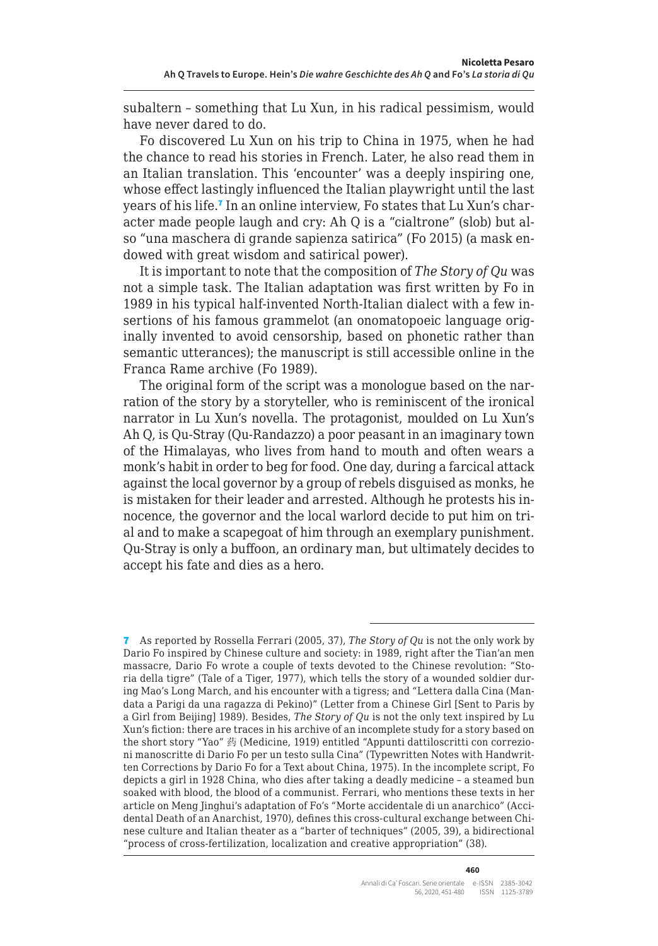subaltern – something that Lu Xun, in his radical pessimism, would have never dared to do.

Fo discovered Lu Xun on his trip to China in 1975, when he had the chance to read his stories in French. Later, he also read them in an Italian translation. This 'encounter' was a deeply inspiring one, whose effect lastingly influenced the Italian playwright until the last years of his life.<sup>7</sup> In an online interview, Fo states that Lu Xun's character made people laugh and cry: Ah Q is a "cialtrone" (slob) but also "una maschera di grande sapienza satirica" (Fo 2015) (a mask endowed with great wisdom and satirical power).

It is important to note that the composition of *The Story of Qu* was not a simple task. The Italian adaptation was first written by Fo in 1989 in his typical half-invented North-Italian dialect with a few insertions of his famous grammelot (an onomatopoeic language originally invented to avoid censorship, based on phonetic rather than semantic utterances); the manuscript is still accessible online in the Franca Rame archive (Fo 1989).

The original form of the script was a monologue based on the narration of the story by a storyteller, who is reminiscent of the ironical narrator in Lu Xun's novella. The protagonist, moulded on Lu Xun's Ah Q, is Qu-Stray (Qu-Randazzo) a poor peasant in an imaginary town of the Himalayas, who lives from hand to mouth and often wears a monk's habit in order to beg for food. One day, during a farcical attack against the local governor by a group of rebels disguised as monks, he is mistaken for their leader and arrested. Although he protests his innocence, the governor and the local warlord decide to put him on trial and to make a scapegoat of him through an exemplary punishment. Qu-Stray is only a buffoon, an ordinary man, but ultimately decides to accept his fate and dies as a hero.

<sup>7</sup> As reported by Rossella Ferrari (2005, 37), *The Story of Qu* is not the only work by Dario Fo inspired by Chinese culture and society: in 1989, right after the Tian'an men massacre, Dario Fo wrote a couple of texts devoted to the Chinese revolution: "Storia della tigre" (Tale of a Tiger, 1977), which tells the story of a wounded soldier during Mao's Long March, and his encounter with a tigress; and "Lettera dalla Cina (Mandata a Parigi da una ragazza di Pekino)" (Letter from a Chinese Girl [Sent to Paris by a Girl from Beijing] 1989). Besides, *The Story of Qu* is not the only text inspired by Lu Xun's fiction: there are traces in his archive of an incomplete study for a story based on the short story "Yao" 药 (Medicine, 1919) entitled "Appunti dattiloscritti con correzioni manoscritte di Dario Fo per un testo sulla Cina" (Typewritten Notes with Handwritten Corrections by Dario Fo for a Text about China, 1975). In the incomplete script, Fo depicts a girl in 1928 China, who dies after taking a deadly medicine – a steamed bun soaked with blood, the blood of a communist. Ferrari, who mentions these texts in her article on Meng Jinghui's adaptation of Fo's "Morte accidentale di un anarchico" (Accidental Death of an Anarchist, 1970), defines this cross-cultural exchange between Chinese culture and Italian theater as a "barter of techniques" (2005, 39), a bidirectional "process of cross-fertilization, localization and creative appropriation" (38).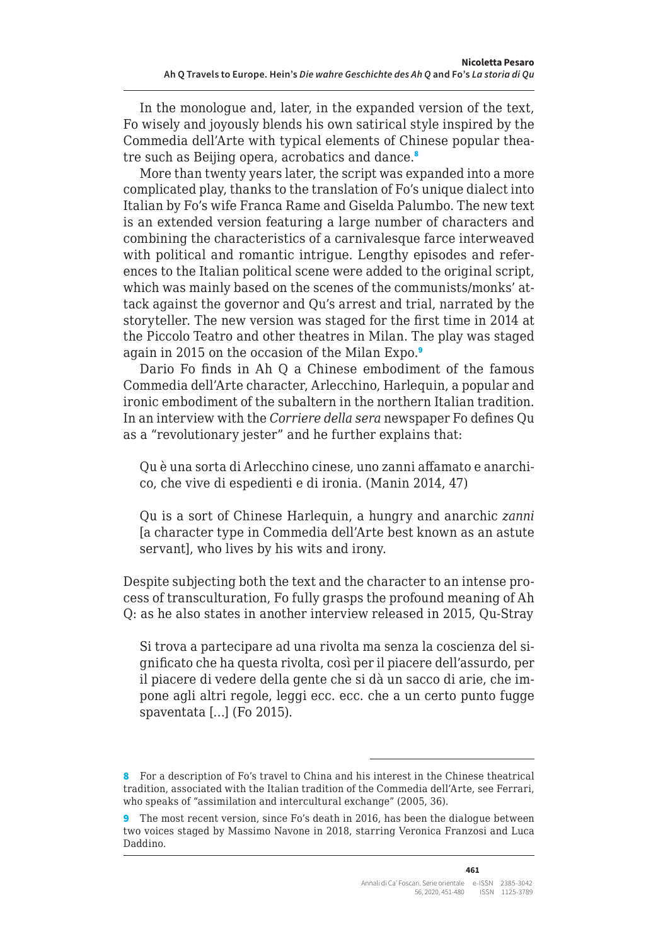In the monologue and, later, in the expanded version of the text, Fo wisely and joyously blends his own satirical style inspired by the Commedia dell'Arte with typical elements of Chinese popular theatre such as Beijing opera, acrobatics and dance.<sup>8</sup>

More than twenty years later, the script was expanded into a more complicated play, thanks to the translation of Fo's unique dialect into Italian by Fo's wife Franca Rame and Giselda Palumbo. The new text is an extended version featuring a large number of characters and combining the characteristics of a carnivalesque farce interweaved with political and romantic intrigue. Lengthy episodes and references to the Italian political scene were added to the original script, which was mainly based on the scenes of the communists/monks' attack against the governor and Qu's arrest and trial, narrated by the storyteller. The new version was staged for the first time in 2014 at the Piccolo Teatro and other theatres in Milan. The play was staged again in 2015 on the occasion of the Milan Expo.<sup>9</sup>

Dario Fo finds in Ah Q a Chinese embodiment of the famous Commedia dell'Arte character, Arlecchino, Harlequin, a popular and ironic embodiment of the subaltern in the northern Italian tradition. In an interview with the *Corriere della sera* newspaper Fo defines Qu as a "revolutionary jester" and he further explains that:

Qu è una sorta di Arlecchino cinese, uno zanni affamato e anarchico, che vive di espedienti e di ironia. (Manin 2014, 47)

Qu is a sort of Chinese Harlequin, a hungry and anarchic *zanni*  [a character type in Commedia dell'Arte best known as an astute servant], who lives by his wits and irony.

Despite subjecting both the text and the character to an intense process of transculturation, Fo fully grasps the profound meaning of Ah Q: as he also states in another interview released in 2015, Qu-Stray

Si trova a partecipare ad una rivolta ma senza la coscienza del significato che ha questa rivolta, così per il piacere dell'assurdo, per il piacere di vedere della gente che si dà un sacco di arie, che impone agli altri regole, leggi ecc. ecc. che a un certo punto fugge spaventata […] (Fo 2015).

<sup>8</sup> For a description of Fo's travel to China and his interest in the Chinese theatrical tradition, associated with the Italian tradition of the Commedia dell'Arte, see Ferrari, who speaks of "assimilation and intercultural exchange" (2005, 36).

<sup>9</sup> The most recent version, since Fo's death in 2016, has been the dialogue between two voices staged by Massimo Navone in 2018, starring Veronica Franzosi and Luca Daddino.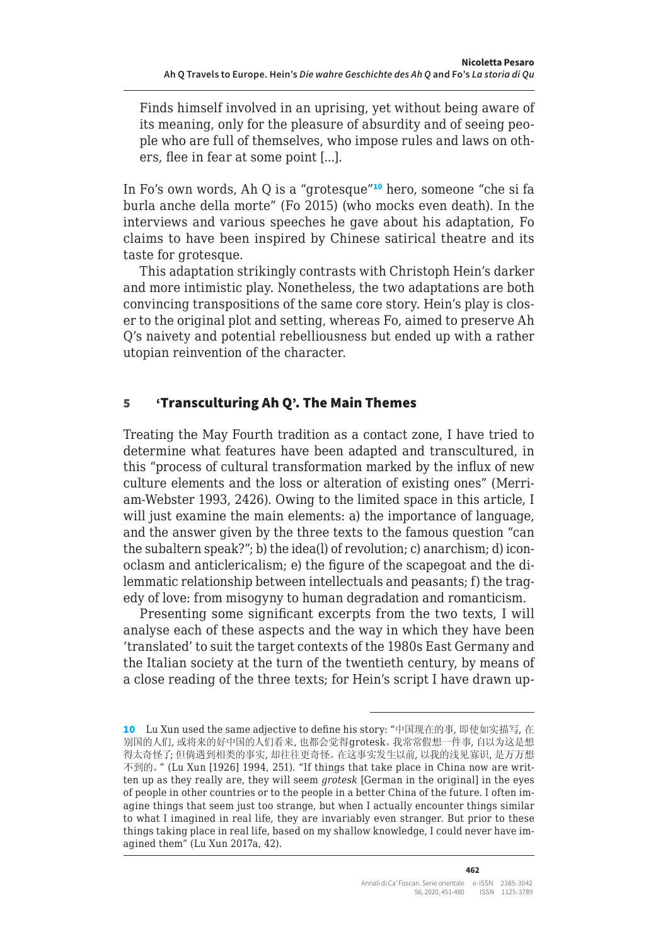Finds himself involved in an uprising, yet without being aware of its meaning, only for the pleasure of absurdity and of seeing people who are full of themselves, who impose rules and laws on others, flee in fear at some point [...].

In Fo's own words, Ah Q is a "grotesque"<sup>10</sup> hero, someone "che si fa burla anche della morte" (Fo 2015) (who mocks even death). In the interviews and various speeches he gave about his adaptation, Fo claims to have been inspired by Chinese satirical theatre and its taste for grotesque.

This adaptation strikingly contrasts with Christoph Hein's darker and more intimistic play. Nonetheless, the two adaptations are both convincing transpositions of the same core story. Hein's play is closer to the original plot and setting, whereas Fo, aimed to preserve Ah Q's naivety and potential rebelliousness but ended up with a rather utopian reinvention of the character.

#### 5 'Transculturing Ah Q'. The Main Themes

Treating the May Fourth tradition as a contact zone, I have tried to determine what features have been adapted and transcultured, in this "process of cultural transformation marked by the influx of new culture elements and the loss or alteration of existing ones" (Merriam-Webster 1993, 2426). Owing to the limited space in this article, I will just examine the main elements: a) the importance of language, and the answer given by the three texts to the famous question "can the subaltern speak?"; b) the idea(l) of revolution; c) anarchism; d) iconoclasm and anticlericalism; e) the figure of the scapegoat and the dilemmatic relationship between intellectuals and peasants; f) the tragedy of love: from misogyny to human degradation and romanticism.

Presenting some significant excerpts from the two texts, I will analyse each of these aspects and the way in which they have been 'translated' to suit the target contexts of the 1980s East Germany and the Italian society at the turn of the twentieth century, by means of a close reading of the three texts; for Hein's script I have drawn up-

<sup>10</sup> Lu Xun used the same adjective to define his story: "中国现在的事, 即使如实描写, 在 别国的人们, 或将来的好中国的人们看来, 也都会觉得grotesk。我常常假想一件事, 自以为这是想 得太奇怪了; 但倘遇到相类的事实, 却往往更奇怪。在这事实发生以前, 以我的浅见寡识, 是万万想 不到的。" (Lu Xun [1926] 1994, 251). "If things that take place in China now are written up as they really are, they will seem *grotesk* [German in the original] in the eyes of people in other countries or to the people in a better China of the future. I often imagine things that seem just too strange, but when I actually encounter things similar to what I imagined in real life, they are invariably even stranger. But prior to these things taking place in real life, based on my shallow knowledge, I could never have imagined them" (Lu Xun 2017a, 42).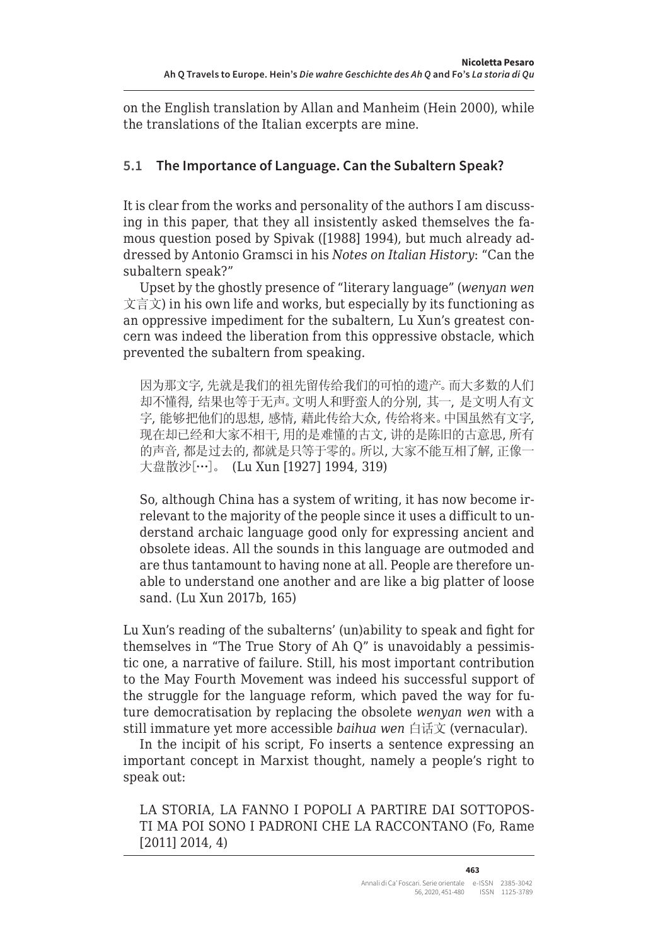on the English translation by Allan and Manheim (Hein 2000), while the translations of the Italian excerpts are mine.

# **5.1 The Importance of Language. Can the Subaltern Speak?**

It is clear from the works and personality of the authors I am discussing in this paper, that they all insistently asked themselves the famous question posed by Spivak ([1988] 1994), but much already addressed by Antonio Gramsci in his *Notes on Italian History*: "Can the subaltern speak?"

Upset by the ghostly presence of "literary language" (*wenyan wen*  $\chi \equiv \chi$ ) in his own life and works, but especially by its functioning as an oppressive impediment for the subaltern, Lu Xun's greatest concern was indeed the liberation from this oppressive obstacle, which prevented the subaltern from speaking.

因为那文字, 先就是我们的祖先留传给我们的可怕的遗产。而大多数的人们 却不懂得, 结果也等于无声。文明人和野蛮人的分别, 其一, 是文明人有文 字, 能够把他们的思想, 感情, 藉此传给大众, 传给将来。中国虽然有文字, 现在却已经和大家不相干, 用的是难懂的古文, 讲的是陈旧的古意思, 所有 的声音, 都是过去的, 都就是只等于零的。所以, 大家不能互相了解, 正像一 大盘散沙[…]。 (Lu Xun [1927] 1994, 319)

So, although China has a system of writing, it has now become irrelevant to the majority of the people since it uses a difficult to understand archaic language good only for expressing ancient and obsolete ideas. All the sounds in this language are outmoded and are thus tantamount to having none at all. People are therefore unable to understand one another and are like a big platter of loose sand. (Lu Xun 2017b, 165)

Lu Xun's reading of the subalterns' (un)ability to speak and fight for themselves in "The True Story of Ah Q" is unavoidably a pessimistic one, a narrative of failure. Still, his most important contribution to the May Fourth Movement was indeed his successful support of the struggle for the language reform, which paved the way for future democratisation by replacing the obsolete *wenyan wen* with a still immature yet more accessible *baihua wen* 白话文 (vernacular).

In the incipit of his script, Fo inserts a sentence expressing an important concept in Marxist thought, namely a people's right to speak out:

LA STORIA, LA FANNO I POPOLI A PARTIRE DAI SOTTOPOS-TI MA POI SONO I PADRONI CHE LA RACCONTANO (Fo, Rame [2011] 2014, 4)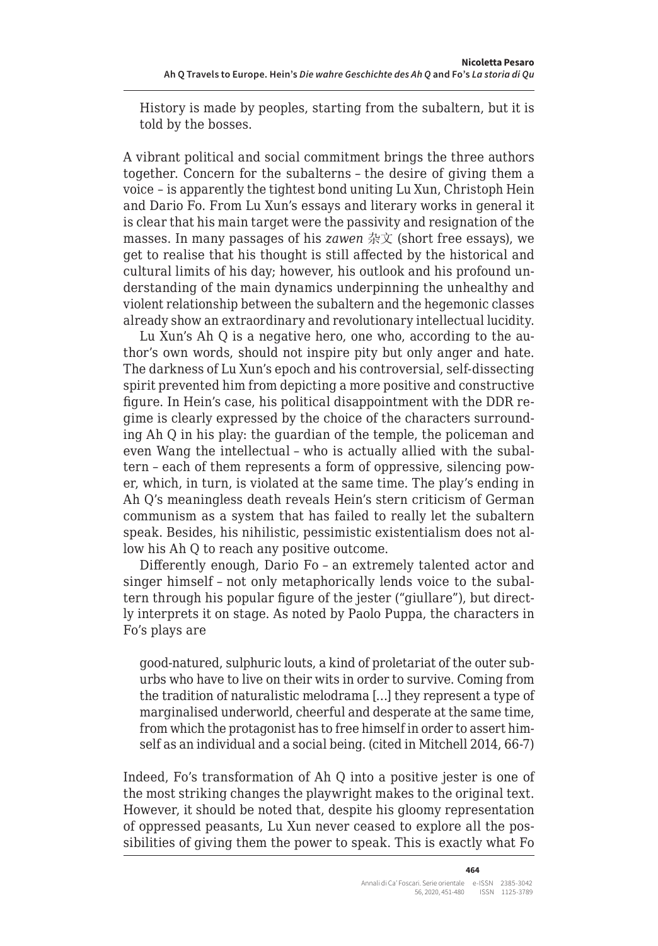History is made by peoples, starting from the subaltern, but it is told by the bosses.

A vibrant political and social commitment brings the three authors together. Concern for the subalterns – the desire of giving them a voice – is apparently the tightest bond uniting Lu Xun, Christoph Hein and Dario Fo. From Lu Xun's essays and literary works in general it is clear that his main target were the passivity and resignation of the masses. In many passages of his *zawen* 杂文 (short free essays), we get to realise that his thought is still affected by the historical and cultural limits of his day; however, his outlook and his profound understanding of the main dynamics underpinning the unhealthy and violent relationship between the subaltern and the hegemonic classes already show an extraordinary and revolutionary intellectual lucidity.

Lu Xun's Ah Q is a negative hero, one who, according to the author's own words, should not inspire pity but only anger and hate. The darkness of Lu Xun's epoch and his controversial, self-dissecting spirit prevented him from depicting a more positive and constructive figure. In Hein's case, his political disappointment with the DDR regime is clearly expressed by the choice of the characters surrounding Ah Q in his play: the guardian of the temple, the policeman and even Wang the intellectual – who is actually allied with the subaltern – each of them represents a form of oppressive, silencing power, which, in turn, is violated at the same time. The play's ending in Ah Q's meaningless death reveals Hein's stern criticism of German communism as a system that has failed to really let the subaltern speak. Besides, his nihilistic, pessimistic existentialism does not allow his Ah Q to reach any positive outcome.

Differently enough, Dario Fo – an extremely talented actor and singer himself – not only metaphorically lends voice to the subaltern through his popular figure of the jester ("giullare"), but directly interprets it on stage. As noted by Paolo Puppa, the characters in Fo's plays are

good-natured, sulphuric louts, a kind of proletariat of the outer suburbs who have to live on their wits in order to survive. Coming from the tradition of naturalistic melodrama […] they represent a type of marginalised underworld, cheerful and desperate at the same time, from which the protagonist has to free himself in order to assert himself as an individual and a social being. (cited in Mitchell 2014, 66-7)

Indeed, Fo's transformation of Ah Q into a positive jester is one of the most striking changes the playwright makes to the original text. However, it should be noted that, despite his gloomy representation of oppressed peasants, Lu Xun never ceased to explore all the possibilities of giving them the power to speak. This is exactly what Fo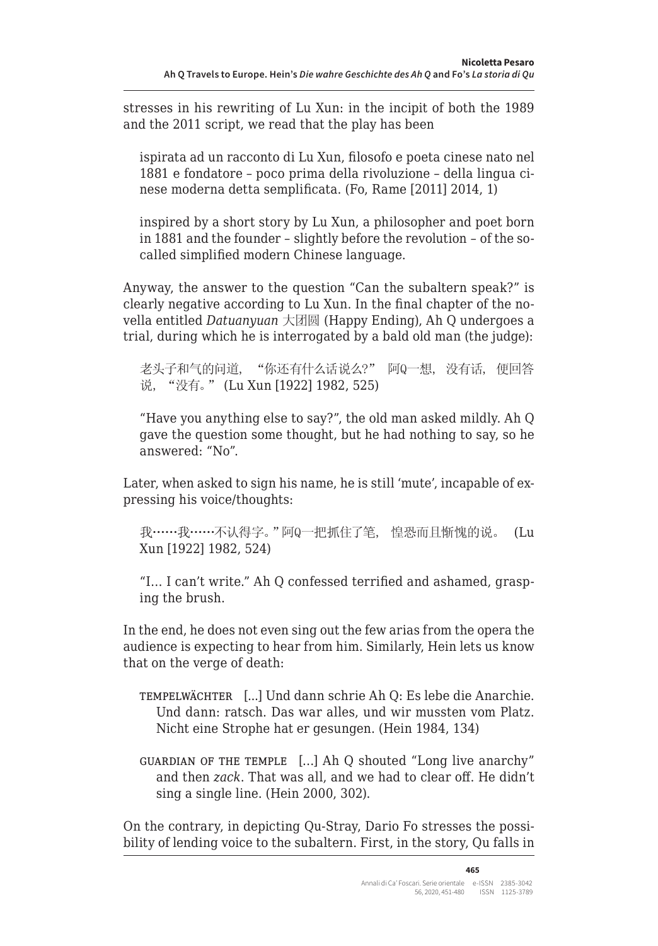stresses in his rewriting of Lu Xun: in the incipit of both the 1989 and the 2011 script, we read that the play has been

ispirata ad un racconto di Lu Xun, filosofo e poeta cinese nato nel 1881 e fondatore – poco prima della rivoluzione – della lingua cinese moderna detta semplificata. (Fo, Rame [2011] 2014, 1)

inspired by a short story by Lu Xun, a philosopher and poet born in 1881 and the founder – slightly before the revolution – of the socalled simplified modern Chinese language.

Anyway, the answer to the question "Can the subaltern speak?" is clearly negative according to Lu Xun. In the final chapter of the novella entitled *Datuanyuan* 大团圆 (Happy Ending), Ah Q undergoes a trial, during which he is interrogated by a bald old man (the judge):

老头子和气的问道, "你还有什么话说么?" 阿Q一想, 没有话, 便回答 说, "没有。" (Lu Xun [1922] 1982, 525)

"Have you anything else to say?", the old man asked mildly. Ah Q gave the question some thought, but he had nothing to say, so he answered: "No".

Later, when asked to sign his name, he is still 'mute', incapable of expressing his voice/thoughts:

我……我……不认得字。"阿Q一把抓住了笔, 惶恐而且惭愧的说。 (Lu Xun [1922] 1982, 524)

"I… I can't write." Ah Q confessed terrified and ashamed, grasping the brush.

In the end, he does not even sing out the few arias from the opera the audience is expecting to hear from him. Similarly, Hein lets us know that on the verge of death:

- tempelwächter [...] Und dann schrie Ah Q: Es lebe die Anarchie. Und dann: ratsch. Das war alles, und wir mussten vom Platz. Nicht eine Strophe hat er gesungen. (Hein 1984, 134)
- guardian of the temple […] Ah Q shouted "Long live anarchy" and then *zack*. That was all, and we had to clear off. He didn't sing a single line. (Hein 2000, 302).

On the contrary, in depicting Qu-Stray, Dario Fo stresses the possibility of lending voice to the subaltern. First, in the story, Qu falls in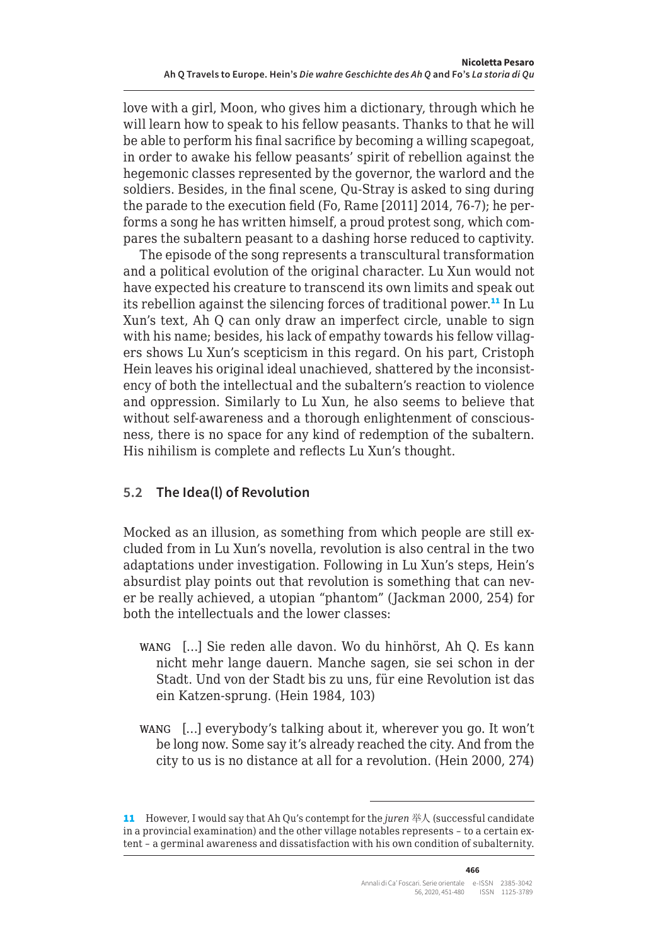love with a girl, Moon, who gives him a dictionary, through which he will learn how to speak to his fellow peasants. Thanks to that he will be able to perform his final sacrifice by becoming a willing scapegoat, in order to awake his fellow peasants' spirit of rebellion against the hegemonic classes represented by the governor, the warlord and the soldiers. Besides, in the final scene, Qu-Stray is asked to sing during the parade to the execution field (Fo, Rame [2011] 2014, 76-7); he performs a song he has written himself, a proud protest song, which compares the subaltern peasant to a dashing horse reduced to captivity.

The episode of the song represents a transcultural transformation and a political evolution of the original character. Lu Xun would not have expected his creature to transcend its own limits and speak out its rebellion against the silencing forces of traditional power.<sup>11</sup> In Lu Xun's text, Ah Q can only draw an imperfect circle, unable to sign with his name; besides, his lack of empathy towards his fellow villagers shows Lu Xun's scepticism in this regard. On his part, Cristoph Hein leaves his original ideal unachieved, shattered by the inconsistency of both the intellectual and the subaltern's reaction to violence and oppression. Similarly to Lu Xun, he also seems to believe that without self-awareness and a thorough enlightenment of consciousness, there is no space for any kind of redemption of the subaltern. His nihilism is complete and reflects Lu Xun's thought.

#### **5.2 The Idea(l) of Revolution**

Mocked as an illusion, as something from which people are still excluded from in Lu Xun's novella, revolution is also central in the two adaptations under investigation. Following in Lu Xun's steps, Hein's absurdist play points out that revolution is something that can never be really achieved, a utopian "phantom" (Jackman 2000, 254) for both the intellectuals and the lower classes:

- wang […] Sie reden alle davon. Wo du hinhörst, Ah Q. Es kann nicht mehr lange dauern. Manche sagen, sie sei schon in der Stadt. Und von der Stadt bis zu uns, für eine Revolution ist das ein Katzen-sprung. (Hein 1984, 103)
- wang […] everybody's talking about it, wherever you go. It won't be long now. Some say it's already reached the city. And from the city to us is no distance at all for a revolution. (Hein 2000, 274)

<sup>11</sup> However, I would say that Ah Qu's contempt for the *juren* 举人 (successful candidate in a provincial examination) and the other village notables represents – to a certain extent – a germinal awareness and dissatisfaction with his own condition of subalternity.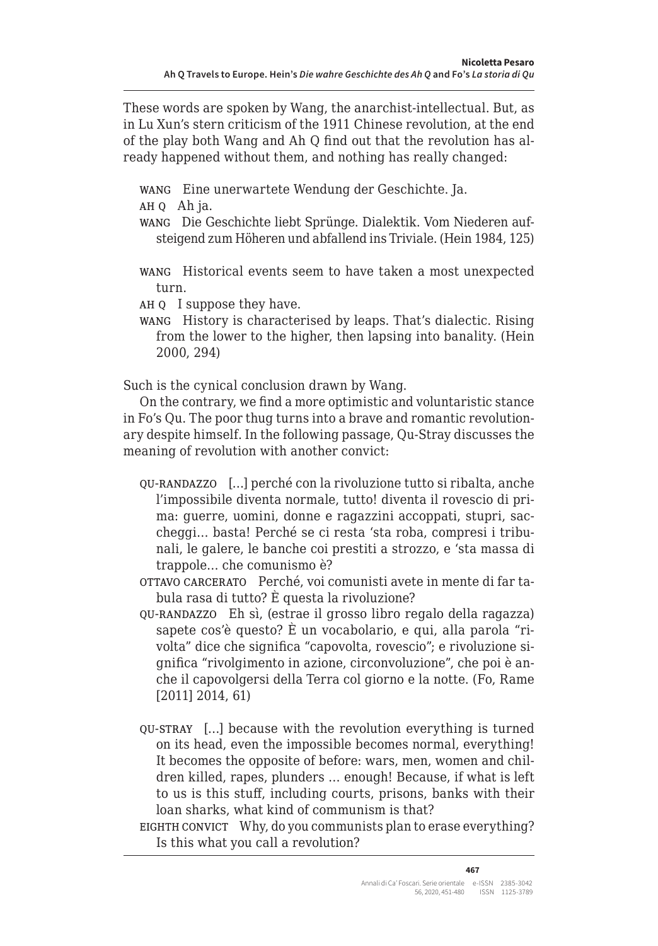These words are spoken by Wang, the anarchist-intellectual. But, as in Lu Xun's stern criticism of the 1911 Chinese revolution, at the end of the play both Wang and Ah Q find out that the revolution has already happened without them, and nothing has really changed:

- wang Eine unerwartete Wendung der Geschichte. Ja.
- ah q Ah ja.
- wang Die Geschichte liebt Sprünge. Dialektik. Vom Niederen aufsteigend zum Höheren und abfallend ins Triviale. (Hein 1984, 125)
- wang Historical events seem to have taken a most unexpected turn.
- ah q I suppose they have.
- wang History is characterised by leaps. That's dialectic. Rising from the lower to the higher, then lapsing into banality. (Hein 2000, 294)

Such is the cynical conclusion drawn by Wang.

On the contrary, we find a more optimistic and voluntaristic stance in Fo's Qu. The poor thug turns into a brave and romantic revolutionary despite himself. In the following passage, Qu-Stray discusses the meaning of revolution with another convict:

- qu-randazzo […] perché con la rivoluzione tutto si ribalta, anche l'impossibile diventa normale, tutto! diventa il rovescio di prima: guerre, uomini, donne e ragazzini accoppati, stupri, saccheggi… basta! Perché se ci resta 'sta roba, compresi i tribunali, le galere, le banche coi prestiti a strozzo, e 'sta massa di trappole… che comunismo è?
- ottavo carcerato Perché, voi comunisti avete in mente di far tabula rasa di tutto? È questa la rivoluzione?
- qu-randazzo Eh sì, (estrae il grosso libro regalo della ragazza) sapete cos'è questo? È un vocabolario, e qui, alla parola "rivolta" dice che significa "capovolta, rovescio"; e rivoluzione significa "rivolgimento in azione, circonvoluzione", che poi è anche il capovolgersi della Terra col giorno e la notte. (Fo, Rame [2011] 2014, 61)
- qu-stray […] because with the revolution everything is turned on its head, even the impossible becomes normal, everything! It becomes the opposite of before: wars, men, women and children killed, rapes, plunders … enough! Because, if what is left to us is this stuff, including courts, prisons, banks with their loan sharks, what kind of communism is that?
- EIGHTH CONVICT Why, do you communists plan to erase everything? Is this what you call a revolution?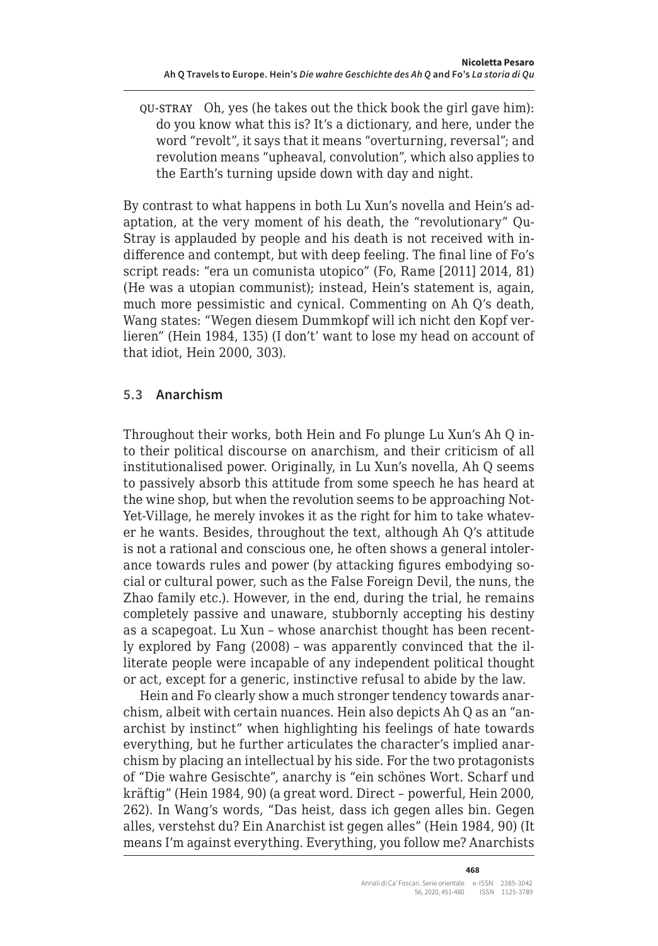qu-stray Oh, yes (he takes out the thick book the girl gave him): do you know what this is? It's a dictionary, and here, under the word "revolt", it says that it means "overturning, reversal"; and revolution means "upheaval, convolution", which also applies to the Earth's turning upside down with day and night.

By contrast to what happens in both Lu Xun's novella and Hein's adaptation, at the very moment of his death, the "revolutionary" Qu-Stray is applauded by people and his death is not received with indifference and contempt, but with deep feeling. The final line of Fo's script reads: "era un comunista utopico" (Fo, Rame [2011] 2014, 81) (He was a utopian communist); instead, Hein's statement is, again, much more pessimistic and cynical. Commenting on Ah Q's death, Wang states: "Wegen diesem Dummkopf will ich nicht den Kopf verlieren" (Hein 1984, 135) (I don't' want to lose my head on account of that idiot, Hein 2000, 303).

### **5.3 Anarchism**

Throughout their works, both Hein and Fo plunge Lu Xun's Ah Q into their political discourse on anarchism, and their criticism of all institutionalised power. Originally, in Lu Xun's novella, Ah Q seems to passively absorb this attitude from some speech he has heard at the wine shop, but when the revolution seems to be approaching Not-Yet-Village, he merely invokes it as the right for him to take whatever he wants. Besides, throughout the text, although Ah Q's attitude is not a rational and conscious one, he often shows a general intolerance towards rules and power (by attacking figures embodying social or cultural power, such as the False Foreign Devil, the nuns, the Zhao family etc.). However, in the end, during the trial, he remains completely passive and unaware, stubbornly accepting his destiny as a scapegoat. Lu Xun – whose anarchist thought has been recently explored by Fang (2008) – was apparently convinced that the illiterate people were incapable of any independent political thought or act, except for a generic, instinctive refusal to abide by the law.

Hein and Fo clearly show a much stronger tendency towards anarchism, albeit with certain nuances. Hein also depicts Ah Q as an "anarchist by instinct" when highlighting his feelings of hate towards everything, but he further articulates the character's implied anarchism by placing an intellectual by his side. For the two protagonists of "Die wahre Gesischte", anarchy is "ein schönes Wort. Scharf und kräftig" (Hein 1984, 90) (a great word. Direct – powerful, Hein 2000, 262). In Wang's words, "Das heist, dass ich gegen alles bin. Gegen alles, verstehst du? Ein Anarchist ist gegen alles" (Hein 1984, 90) (It means I'm against everything. Everything, you follow me? Anarchists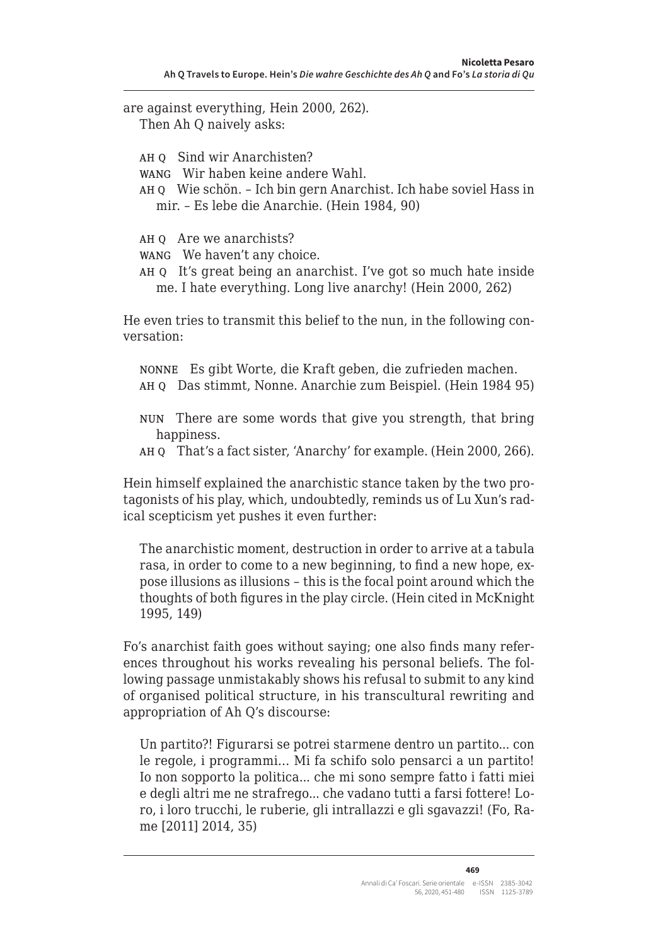are against everything, Hein 2000, 262). Then Ah Q naively asks: AH 0 Sind wir Anarchisten? wang Wir haben keine andere Wahl. ah q Wie schön. – Ich bin gern Anarchist. Ich habe soviel Hass in mir. – Es lebe die Anarchie. (Hein 1984, 90) AH O Are we anarchists? wang We haven't any choice. ah q It's great being an anarchist. I've got so much hate inside me. I hate everything. Long live anarchy! (Hein 2000, 262)

He even tries to transmit this belief to the nun, in the following conversation:

nonne Es gibt Worte, die Kraft geben, die zufrieden machen. ah q Das stimmt, Nonne. Anarchie zum Beispiel. (Hein 1984 95)

- nun There are some words that give you strength, that bring happiness.
- ah q That's a fact sister, 'Anarchy' for example. (Hein 2000, 266).

Hein himself explained the anarchistic stance taken by the two protagonists of his play, which, undoubtedly, reminds us of Lu Xun's radical scepticism yet pushes it even further:

The anarchistic moment, destruction in order to arrive at a tabula rasa, in order to come to a new beginning, to find a new hope, expose illusions as illusions – this is the focal point around which the thoughts of both figures in the play circle. (Hein cited in McKnight 1995, 149)

Fo's anarchist faith goes without saying; one also finds many references throughout his works revealing his personal beliefs. The following passage unmistakably shows his refusal to submit to any kind of organised political structure, in his transcultural rewriting and appropriation of Ah Q's discourse:

Un partito?! Figurarsi se potrei starmene dentro un partito... con le regole, i programmi… Mi fa schifo solo pensarci a un partito! Io non sopporto la politica... che mi sono sempre fatto i fatti miei e degli altri me ne strafrego... che vadano tutti a farsi fottere! Loro, i loro trucchi, le ruberie, gli intrallazzi e gli sgavazzi! (Fo, Rame [2011] 2014, 35)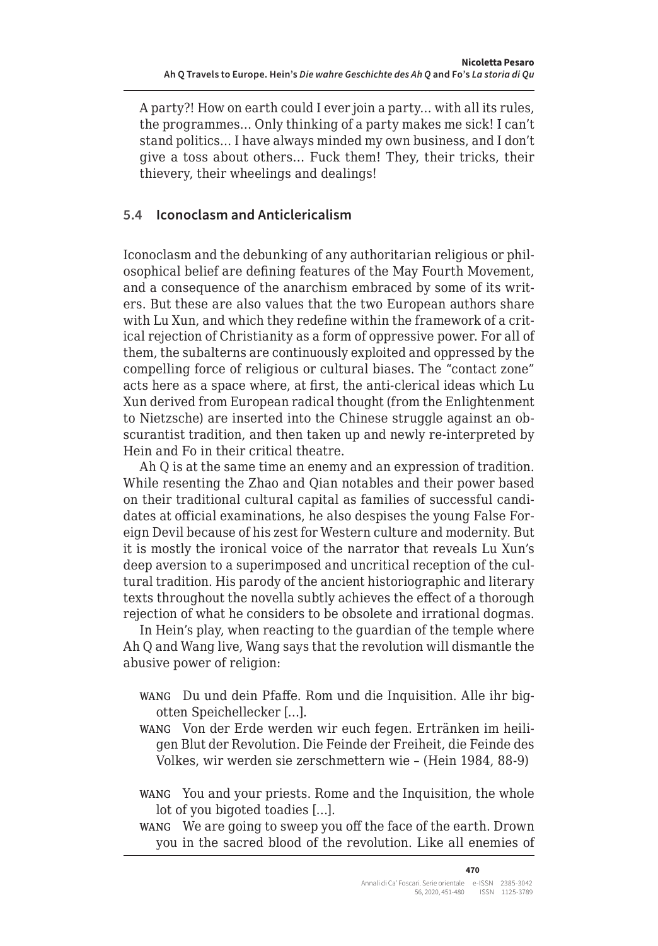A party?! How on earth could I ever join a party… with all its rules, the programmes… Only thinking of a party makes me sick! I can't stand politics… I have always minded my own business, and I don't give a toss about others… Fuck them! They, their tricks, their thievery, their wheelings and dealings!

# **5.4 Iconoclasm and Anticlericalism**

Iconoclasm and the debunking of any authoritarian religious or philosophical belief are defining features of the May Fourth Movement, and a consequence of the anarchism embraced by some of its writers. But these are also values that the two European authors share with Lu Xun, and which they redefine within the framework of a critical rejection of Christianity as a form of oppressive power. For all of them, the subalterns are continuously exploited and oppressed by the compelling force of religious or cultural biases. The "contact zone" acts here as a space where, at first, the anti-clerical ideas which Lu Xun derived from European radical thought (from the Enlightenment to Nietzsche) are inserted into the Chinese struggle against an obscurantist tradition, and then taken up and newly re-interpreted by Hein and Fo in their critical theatre.

Ah Q is at the same time an enemy and an expression of tradition. While resenting the Zhao and Qian notables and their power based on their traditional cultural capital as families of successful candidates at official examinations, he also despises the young False Foreign Devil because of his zest for Western culture and modernity. But it is mostly the ironical voice of the narrator that reveals Lu Xun's deep aversion to a superimposed and uncritical reception of the cultural tradition. His parody of the ancient historiographic and literary texts throughout the novella subtly achieves the effect of a thorough rejection of what he considers to be obsolete and irrational dogmas.

In Hein's play, when reacting to the guardian of the temple where Ah Q and Wang live, Wang says that the revolution will dismantle the abusive power of religion:

- wang Du und dein Pfaffe. Rom und die Inquisition. Alle ihr bigotten Speichellecker […].
- wang Von der Erde werden wir euch fegen. Ertränken im heiligen Blut der Revolution. Die Feinde der Freiheit, die Feinde des Volkes, wir werden sie zerschmettern wie – (Hein 1984, 88-9)
- wang You and your priests. Rome and the Inquisition, the whole lot of you bigoted toadies […].
- wang We are going to sweep you off the face of the earth. Drown you in the sacred blood of the revolution. Like all enemies of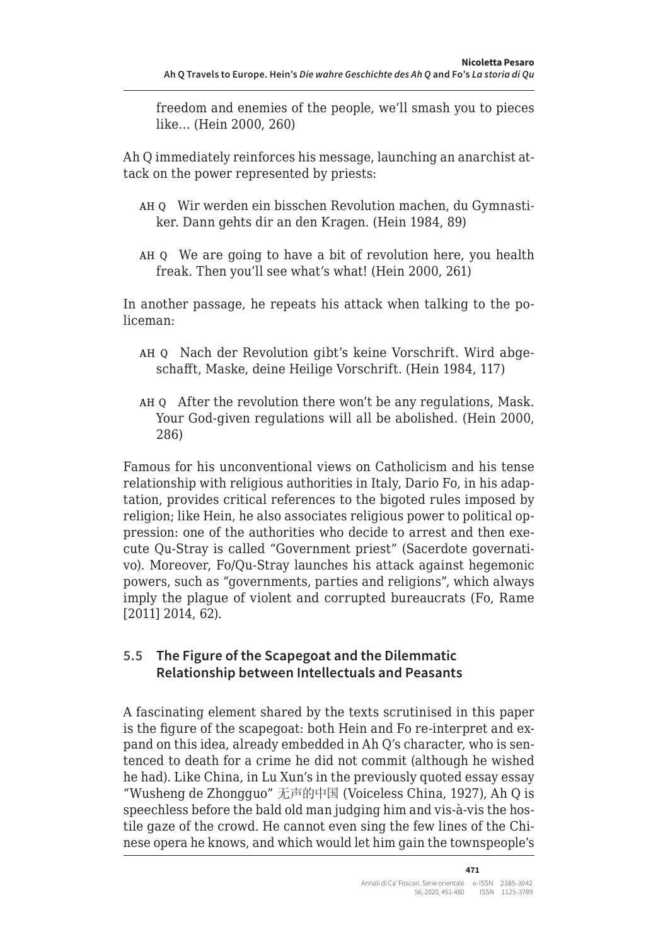freedom and enemies of the people, we'll smash you to pieces like… (Hein 2000, 260)

Ah Q immediately reinforces his message, launching an anarchist attack on the power represented by priests:

- ah q Wir werden ein bisschen Revolution machen, du Gymnastiker. Dann gehts dir an den Kragen. (Hein 1984, 89)
- ah q We are going to have a bit of revolution here, you health freak. Then you'll see what's what! (Hein 2000, 261)

In another passage, he repeats his attack when talking to the policeman:

- ah q Nach der Revolution gibt's keine Vorschrift. Wird abgeschafft, Maske, deine Heilige Vorschrift. (Hein 1984, 117)
- ah q After the revolution there won't be any regulations, Mask. Your God-given regulations will all be abolished. (Hein 2000, 286)

Famous for his unconventional views on Catholicism and his tense relationship with religious authorities in Italy, Dario Fo, in his adaptation, provides critical references to the bigoted rules imposed by religion; like Hein, he also associates religious power to political oppression: one of the authorities who decide to arrest and then execute Qu-Stray is called "Government priest" (Sacerdote governativo). Moreover, Fo/Qu-Stray launches his attack against hegemonic powers, such as "governments, parties and religions", which always imply the plague of violent and corrupted bureaucrats (Fo, Rame [2011] 2014, 62).

### **5.5 The Figure of the Scapegoat and the Dilemmatic Relationship between Intellectuals and Peasants**

A fascinating element shared by the texts scrutinised in this paper is the figure of the scapegoat: both Hein and Fo re-interpret and expand on this idea, already embedded in Ah Q's character, who is sentenced to death for a crime he did not commit (although he wished he had). Like China, in Lu Xun's in the previously quoted essay essay "Wusheng de Zhongguo" 无声的中国 (Voiceless China, 1927), Ah Q is speechless before the bald old man judging him and vis-à-vis the hostile gaze of the crowd. He cannot even sing the few lines of the Chinese opera he knows, and which would let him gain the townspeople's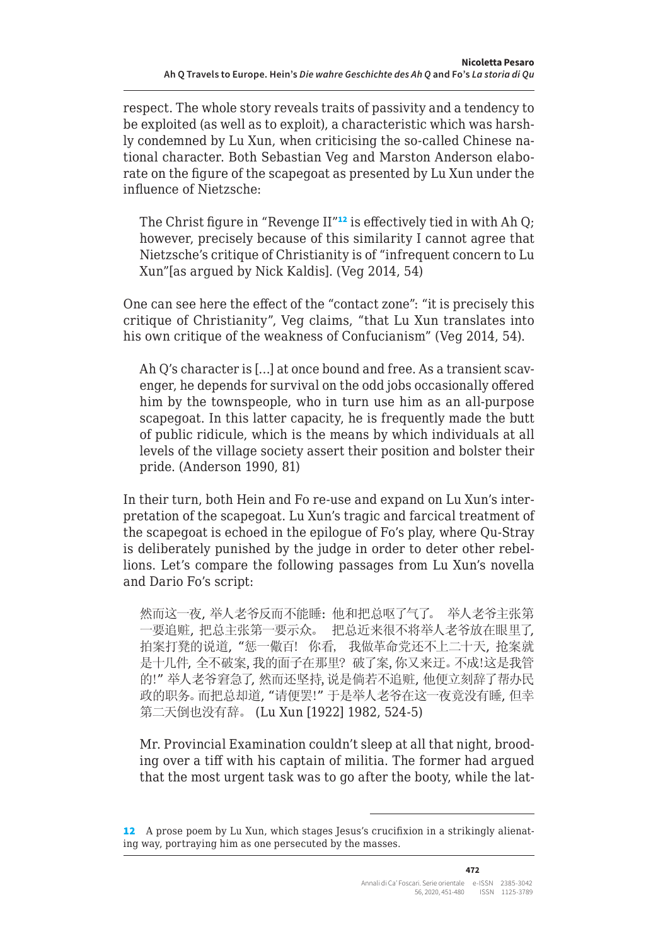respect. The whole story reveals traits of passivity and a tendency to be exploited (as well as to exploit), a characteristic which was harshly condemned by Lu Xun, when criticising the so-called Chinese national character. Both Sebastian Veg and Marston Anderson elaborate on the figure of the scapegoat as presented by Lu Xun under the influence of Nietzsche:

The Christ figure in "Revenge  $II''^{12}$  is effectively tied in with Ah Q; however, precisely because of this similarity I cannot agree that Nietzsche's critique of Christianity is of "infrequent concern to Lu Xun"[as argued by Nick Kaldis]. (Veg 2014, 54)

One can see here the effect of the "contact zone": "it is precisely this critique of Christianity", Veg claims, "that Lu Xun translates into his own critique of the weakness of Confucianism" (Veg 2014, 54).

Ah Q's character is […] at once bound and free. As a transient scavenger, he depends for survival on the odd jobs occasionally offered him by the townspeople, who in turn use him as an all-purpose scapegoat. In this latter capacity, he is frequently made the butt of public ridicule, which is the means by which individuals at all levels of the village society assert their position and bolster their pride. (Anderson 1990, 81)

In their turn, both Hein and Fo re-use and expand on Lu Xun's interpretation of the scapegoat. Lu Xun's tragic and farcical treatment of the scapegoat is echoed in the epilogue of Fo's play, where Qu-Stray is deliberately punished by the judge in order to deter other rebellions. Let's compare the following passages from Lu Xun's novella and Dario Fo's script:

然而这一夜, 举人老爷反而不能睡: 他和把总呕了气了。 举人老爷主张第 一要追赃, 把总主张第一要示众。 把总近来很不将举人老爷放在眼里了, 拍案打凳的说道, "惩一儆百! 你看, 我做革命党还不上二十天, 抢案就 是十几件, 全不破案, 我的面子在那里? 破了案, 你又来迂。不成!这是我管 的!" 举人老爷窘急了, 然而还坚持, 说是倘若不追赃, 他便立刻辞了帮办民 政的职务。而把总却道, "请便罢!" 于是举人老爷在这一夜竟没有睡, 但幸 第二天倒也没有辞。 (Lu Xun [1922] 1982, 524-5)

Mr. Provincial Examination couldn't sleep at all that night, brooding over a tiff with his captain of militia. The former had argued that the most urgent task was to go after the booty, while the lat-

<sup>12</sup> A prose poem by Lu Xun, which stages Jesus's crucifixion in a strikingly alienating way, portraying him as one persecuted by the masses.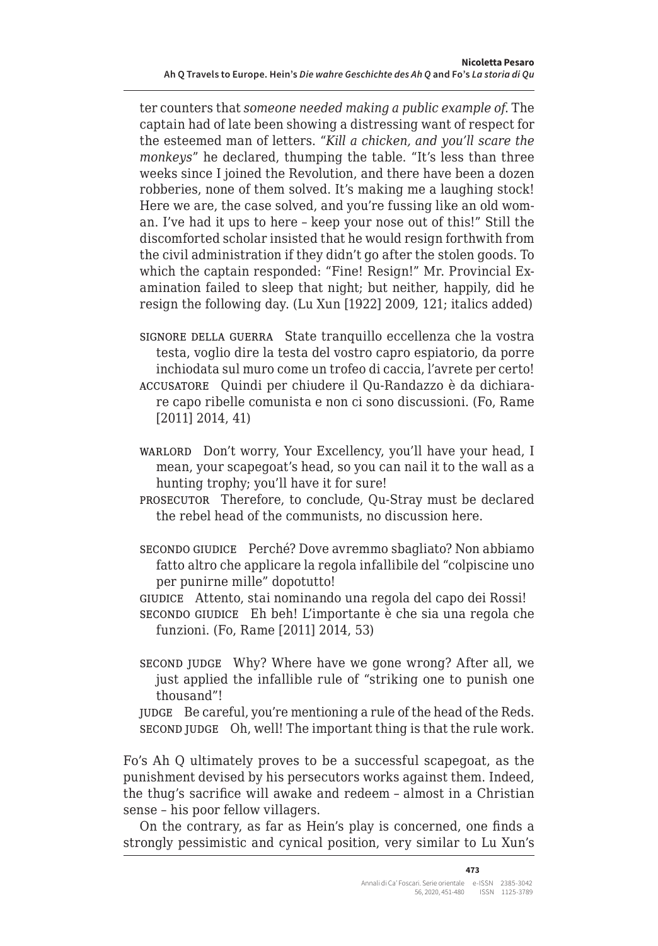ter counters that *someone needed making a public example of*. The captain had of late been showing a distressing want of respect for the esteemed man of letters. "*Kill a chicken, and you'll scare the monkeys*" he declared, thumping the table. "It's less than three weeks since I joined the Revolution, and there have been a dozen robberies, none of them solved. It's making me a laughing stock! Here we are, the case solved, and you're fussing like an old woman. I've had it ups to here – keep your nose out of this!" Still the discomforted scholar insisted that he would resign forthwith from the civil administration if they didn't go after the stolen goods. To which the captain responded: "Fine! Resign!" Mr. Provincial Examination failed to sleep that night; but neither, happily, did he resign the following day. (Lu Xun [1922] 2009, 121; italics added)

- signore della guerra State tranquillo eccellenza che la vostra testa, voglio dire la testa del vostro capro espiatorio, da porre inchiodata sul muro come un trofeo di caccia, l'avrete per certo! accusatore Quindi per chiudere il Qu-Randazzo è da dichiarare capo ribelle comunista e non ci sono discussioni. (Fo, Rame [2011] 2014, 41)
- warlord Don't worry, Your Excellency, you'll have your head, I mean, your scapegoat's head, so you can nail it to the wall as a hunting trophy; you'll have it for sure!
- prosecutor Therefore, to conclude, Qu-Stray must be declared the rebel head of the communists, no discussion here.
- secondo giudice Perché? Dove avremmo sbagliato? Non abbiamo fatto altro che applicare la regola infallibile del "colpiscine uno per punirne mille" dopotutto!
- giudice Attento, stai nominando una regola del capo dei Rossi! secondo giudice Eh beh! L'importante è che sia una regola che funzioni. (Fo, Rame [2011] 2014, 53)
- second judge Why? Where have we gone wrong? After all, we just applied the infallible rule of "striking one to punish one thousand"!

judge Be careful, you're mentioning a rule of the head of the Reds. second judge Oh, well! The important thing is that the rule work.

Fo's Ah Q ultimately proves to be a successful scapegoat, as the punishment devised by his persecutors works against them. Indeed, the thug's sacrifice will awake and redeem – almost in a Christian sense – his poor fellow villagers.

On the contrary, as far as Hein's play is concerned, one finds a strongly pessimistic and cynical position, very similar to Lu Xun's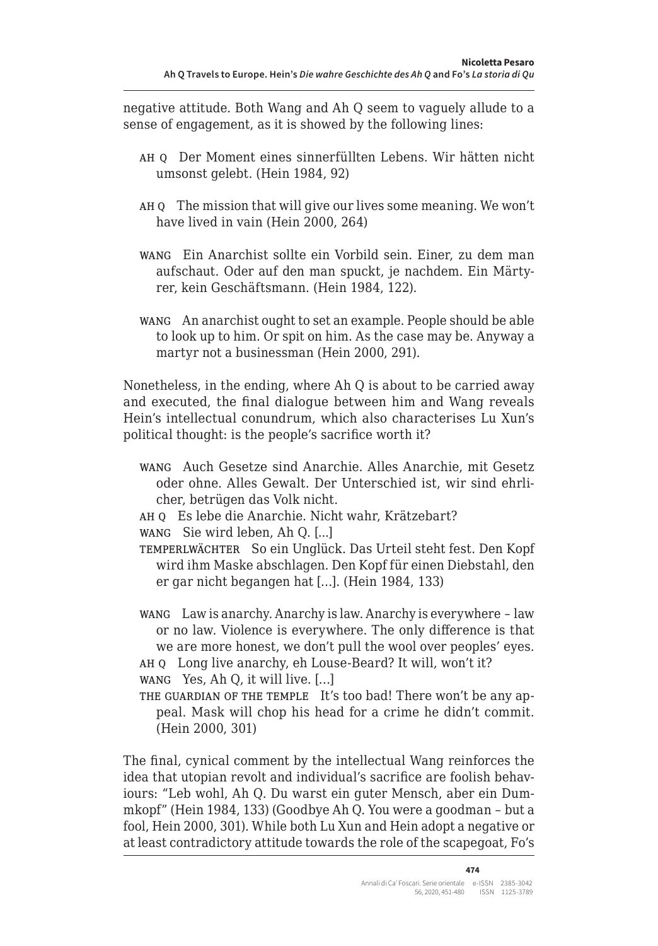negative attitude. Both Wang and Ah Q seem to vaguely allude to a sense of engagement, as it is showed by the following lines:

- ah q Der Moment eines sinnerfüllten Lebens. Wir hätten nicht umsonst gelebt. (Hein 1984, 92)
- ah q The mission that will give our lives some meaning. We won't have lived in vain (Hein 2000, 264)
- wang Ein Anarchist sollte ein Vorbild sein. Einer, zu dem man aufschaut. Oder auf den man spuckt, je nachdem. Ein Märtyrer, kein Geschäftsmann. (Hein 1984, 122).
- wang An anarchist ought to set an example. People should be able to look up to him. Or spit on him. As the case may be. Anyway a martyr not a businessman (Hein 2000, 291).

Nonetheless, in the ending, where Ah Q is about to be carried away and executed, the final dialogue between him and Wang reveals Hein's intellectual conundrum, which also characterises Lu Xun's political thought: is the people's sacrifice worth it?

- wang Auch Gesetze sind Anarchie. Alles Anarchie, mit Gesetz oder ohne. Alles Gewalt. Der Unterschied ist, wir sind ehrlicher, betrügen das Volk nicht.
- ah q Es lebe die Anarchie. Nicht wahr, Krätzebart?

wang Sie wird leben, Ah Q. [...]

temperlwächter So ein Unglück. Das Urteil steht fest. Den Kopf wird ihm Maske abschlagen. Den Kopf für einen Diebstahl, den er gar nicht begangen hat […]. (Hein 1984, 133)

- wang Law is anarchy. Anarchy is law. Anarchy is everywhere law or no law. Violence is everywhere. The only difference is that we are more honest, we don't pull the wool over peoples' eyes.
- ah q Long live anarchy, eh Louse-Beard? It will, won't it?
- wang Yes, Ah Q, it will live. […]

THE GUARDIAN OF THE TEMPLE It's too bad! There won't be any appeal. Mask will chop his head for a crime he didn't commit. (Hein 2000, 301)

The final, cynical comment by the intellectual Wang reinforces the idea that utopian revolt and individual's sacrifice are foolish behaviours: "Leb wohl, Ah Q. Du warst ein guter Mensch, aber ein Dummkopf" (Hein 1984, 133) (Goodbye Ah Q. You were a goodman – but a fool, Hein 2000, 301). While both Lu Xun and Hein adopt a negative or at least contradictory attitude towards the role of the scapegoat, Fo's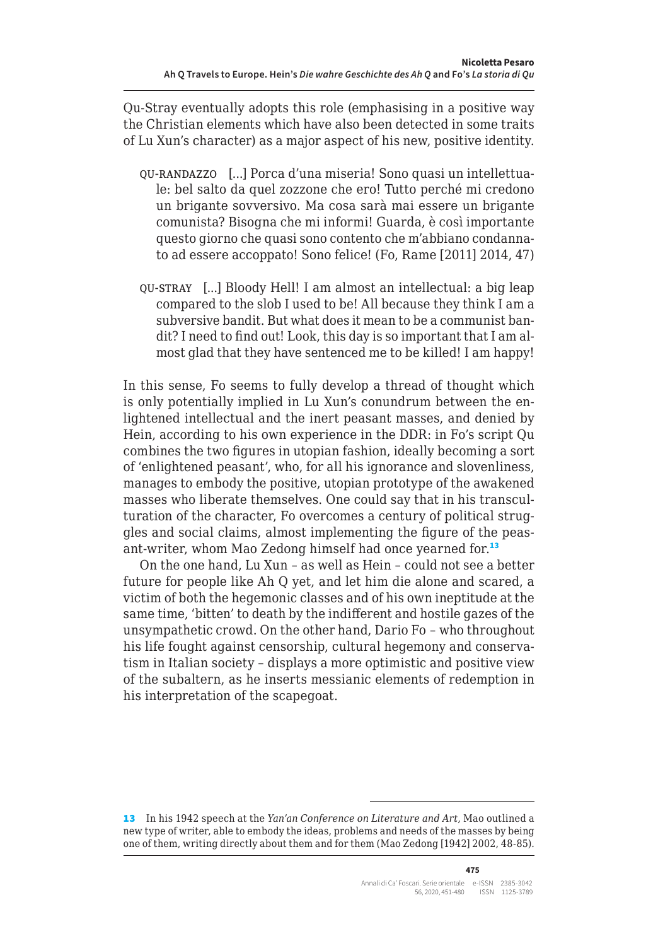Qu-Stray eventually adopts this role (emphasising in a positive way the Christian elements which have also been detected in some traits of Lu Xun's character) as a major aspect of his new, positive identity.

- qu-randazzo [...] Porca d'una miseria! Sono quasi un intellettuale: bel salto da quel zozzone che ero! Tutto perché mi credono un brigante sovversivo. Ma cosa sarà mai essere un brigante comunista? Bisogna che mi informi! Guarda, è così importante questo giorno che quasi sono contento che m'abbiano condannato ad essere accoppato! Sono felice! (Fo, Rame [2011] 2014, 47)
- qu-stray [...] Bloody Hell! I am almost an intellectual: a big leap compared to the slob I used to be! All because they think I am a subversive bandit. But what does it mean to be a communist bandit? I need to find out! Look, this day is so important that I am almost glad that they have sentenced me to be killed! I am happy!

In this sense, Fo seems to fully develop a thread of thought which is only potentially implied in Lu Xun's conundrum between the enlightened intellectual and the inert peasant masses, and denied by Hein, according to his own experience in the DDR: in Fo's script Qu combines the two figures in utopian fashion, ideally becoming a sort of 'enlightened peasant', who, for all his ignorance and slovenliness, manages to embody the positive, utopian prototype of the awakened masses who liberate themselves. One could say that in his transculturation of the character, Fo overcomes a century of political struggles and social claims, almost implementing the figure of the peasant-writer, whom Mao Zedong himself had once yearned for.<sup>13</sup>

On the one hand, Lu Xun – as well as Hein – could not see a better future for people like Ah Q yet, and let him die alone and scared, a victim of both the hegemonic classes and of his own ineptitude at the same time, 'bitten' to death by the indifferent and hostile gazes of the unsympathetic crowd. On the other hand, Dario Fo – who throughout his life fought against censorship, cultural hegemony and conservatism in Italian society – displays a more optimistic and positive view of the subaltern, as he inserts messianic elements of redemption in his interpretation of the scapegoat.

<sup>13</sup> In his 1942 speech at the *Yan'an Conference on Literature and Art*, Mao outlined a new type of writer, able to embody the ideas, problems and needs of the masses by being one of them, writing directly about them and for them (Mao Zedong [1942] 2002, 48-85).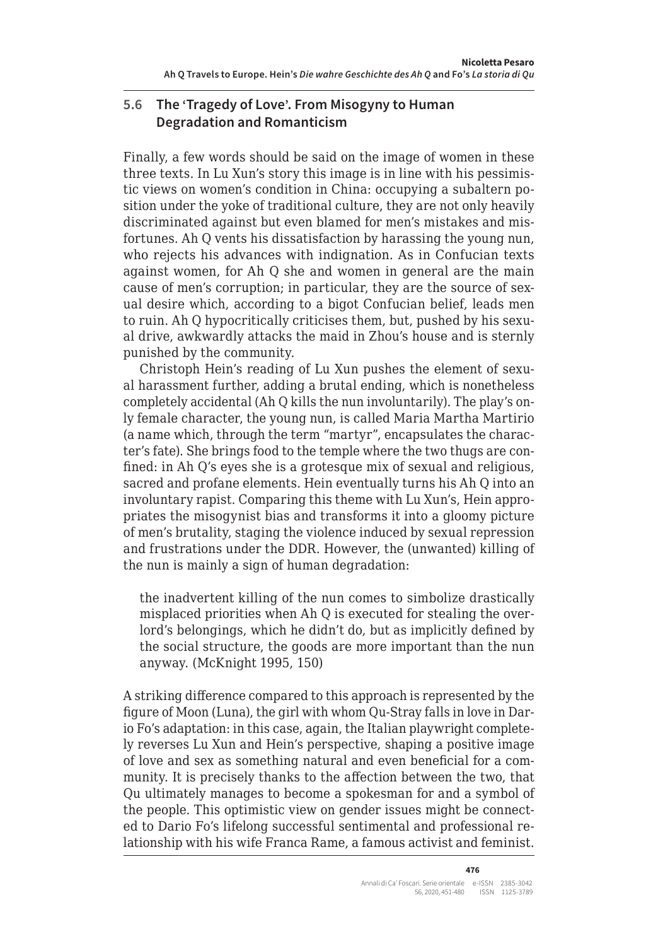# **5.6 The 'Tragedy of Love'. From Misogyny to Human Degradation and Romanticism**

Finally, a few words should be said on the image of women in these three texts. In Lu Xun's story this image is in line with his pessimistic views on women's condition in China: occupying a subaltern position under the yoke of traditional culture, they are not only heavily discriminated against but even blamed for men's mistakes and misfortunes. Ah Q vents his dissatisfaction by harassing the young nun, who rejects his advances with indignation. As in Confucian texts against women, for Ah Q she and women in general are the main cause of men's corruption; in particular, they are the source of sexual desire which, according to a bigot Confucian belief, leads men to ruin. Ah Q hypocritically criticises them, but, pushed by his sexual drive, awkwardly attacks the maid in Zhou's house and is sternly punished by the community.

Christoph Hein's reading of Lu Xun pushes the element of sexual harassment further, adding a brutal ending, which is nonetheless completely accidental (Ah Q kills the nun involuntarily). The play's only female character, the young nun, is called Maria Martha Martirio (a name which, through the term "martyr", encapsulates the character's fate). She brings food to the temple where the two thugs are confined: in Ah Q's eyes she is a grotesque mix of sexual and religious, sacred and profane elements. Hein eventually turns his Ah Q into an involuntary rapist. Comparing this theme with Lu Xun's, Hein appropriates the misogynist bias and transforms it into a gloomy picture of men's brutality, staging the violence induced by sexual repression and frustrations under the DDR. However, the (unwanted) killing of the nun is mainly a sign of human degradation:

the inadvertent killing of the nun comes to simbolize drastically misplaced priorities when Ah Q is executed for stealing the overlord's belongings, which he didn't do, but as implicitly defined by the social structure, the goods are more important than the nun anyway. (McKnight 1995, 150)

A striking difference compared to this approach is represented by the figure of Moon (Luna), the girl with whom Qu-Stray falls in love in Dario Fo's adaptation: in this case, again, the Italian playwright completely reverses Lu Xun and Hein's perspective, shaping a positive image of love and sex as something natural and even beneficial for a community. It is precisely thanks to the affection between the two, that Qu ultimately manages to become a spokesman for and a symbol of the people. This optimistic view on gender issues might be connected to Dario Fo's lifelong successful sentimental and professional relationship with his wife Franca Rame, a famous activist and feminist.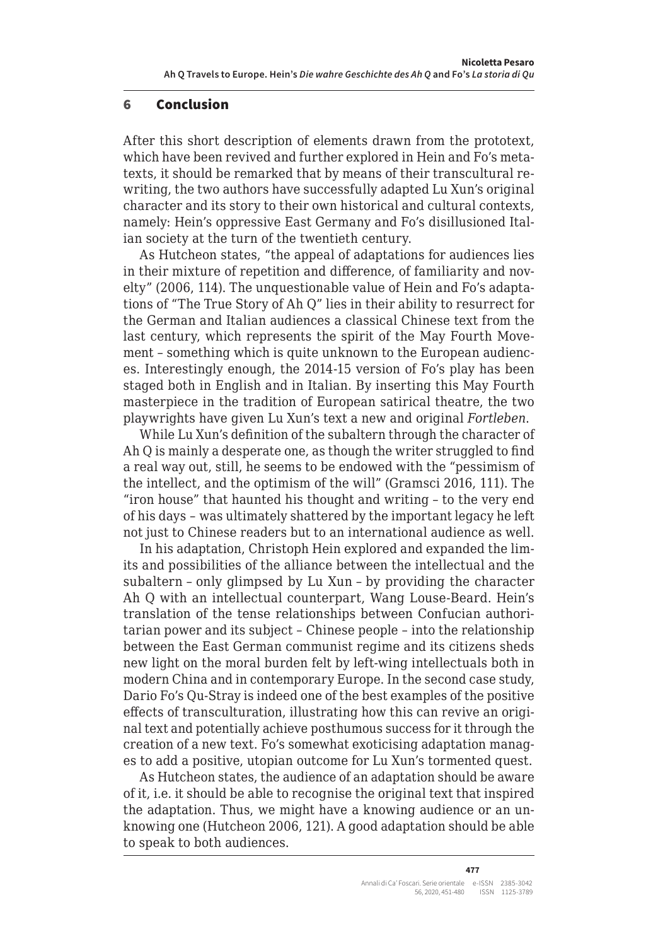#### 6 Conclusion

After this short description of elements drawn from the prototext, which have been revived and further explored in Hein and Fo's metatexts, it should be remarked that by means of their transcultural rewriting, the two authors have successfully adapted Lu Xun's original character and its story to their own historical and cultural contexts, namely: Hein's oppressive East Germany and Fo's disillusioned Italian society at the turn of the twentieth century.

As Hutcheon states, "the appeal of adaptations for audiences lies in their mixture of repetition and difference, of familiarity and novelty" (2006, 114). The unquestionable value of Hein and Fo's adaptations of "The True Story of Ah Q" lies in their ability to resurrect for the German and Italian audiences a classical Chinese text from the last century, which represents the spirit of the May Fourth Movement – something which is quite unknown to the European audiences. Interestingly enough, the 2014-15 version of Fo's play has been staged both in English and in Italian. By inserting this May Fourth masterpiece in the tradition of European satirical theatre, the two playwrights have given Lu Xun's text a new and original *Fortleben*.

While Lu Xun's definition of the subaltern through the character of Ah Q is mainly a desperate one, as though the writer struggled to find a real way out, still, he seems to be endowed with the "pessimism of the intellect, and the optimism of the will" (Gramsci 2016, 111). The "iron house" that haunted his thought and writing – to the very end of his days – was ultimately shattered by the important legacy he left not just to Chinese readers but to an international audience as well.

In his adaptation, Christoph Hein explored and expanded the limits and possibilities of the alliance between the intellectual and the subaltern – only glimpsed by Lu Xun – by providing the character Ah Q with an intellectual counterpart, Wang Louse-Beard. Hein's translation of the tense relationships between Confucian authoritarian power and its subject – Chinese people – into the relationship between the East German communist regime and its citizens sheds new light on the moral burden felt by left-wing intellectuals both in modern China and in contemporary Europe. In the second case study, Dario Fo's Qu-Stray is indeed one of the best examples of the positive effects of transculturation, illustrating how this can revive an original text and potentially achieve posthumous success for it through the creation of a new text. Fo's somewhat exoticising adaptation manages to add a positive, utopian outcome for Lu Xun's tormented quest.

As Hutcheon states, the audience of an adaptation should be aware of it, i.e. it should be able to recognise the original text that inspired the adaptation. Thus, we might have a knowing audience or an unknowing one (Hutcheon 2006, 121). A good adaptation should be able to speak to both audiences.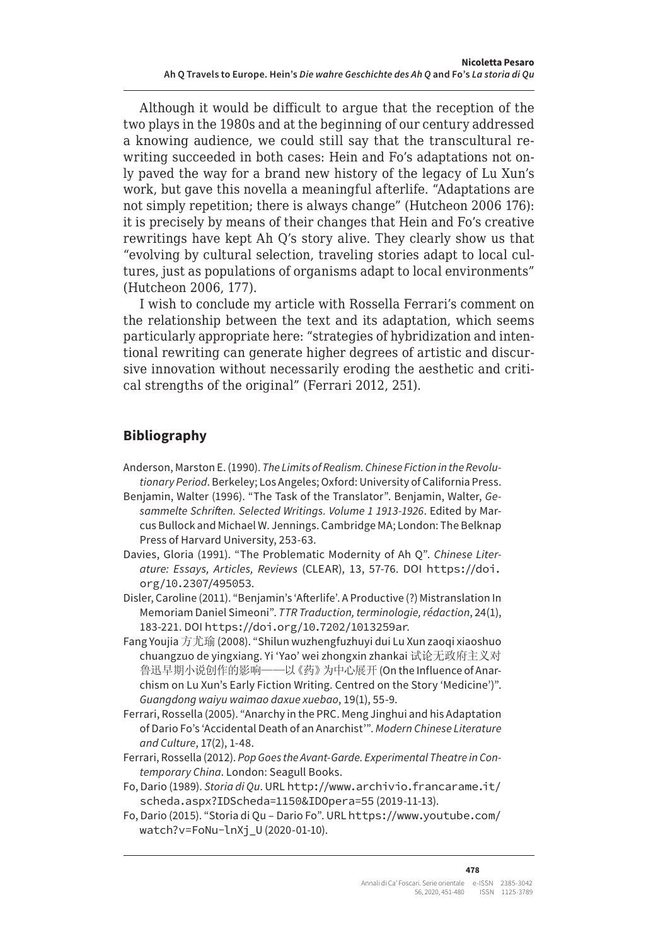Although it would be difficult to argue that the reception of the two plays in the 1980s and at the beginning of our century addressed a knowing audience, we could still say that the transcultural rewriting succeeded in both cases: Hein and Fo's adaptations not only paved the way for a brand new history of the legacy of Lu Xun's work, but gave this novella a meaningful afterlife. "Adaptations are not simply repetition; there is always change" (Hutcheon 2006 176): it is precisely by means of their changes that Hein and Fo's creative rewritings have kept Ah Q's story alive. They clearly show us that "evolving by cultural selection, traveling stories adapt to local cultures, just as populations of organisms adapt to local environments" (Hutcheon 2006, 177).

I wish to conclude my article with Rossella Ferrari's comment on the relationship between the text and its adaptation, which seems particularly appropriate here: "strategies of hybridization and intentional rewriting can generate higher degrees of artistic and discursive innovation without necessarily eroding the aesthetic and critical strengths of the original" (Ferrari 2012, 251).

# **Bibliography**

- Anderson, Marston E. (1990). *The Limits of Realism. Chinese Fiction in the Revolutionary Period*. Berkeley; Los Angeles; Oxford: University of California Press.
- Benjamin, Walter (1996). "The Task of the Translator". Benjamin, Walter, *Gesammelte Schriften. Selected Writings. Volume 1 1913-1926*. Edited by Marcus Bullock and Michael W. Jennings. Cambridge MA; London: The Belknap Press of Harvard University, 253-63.
- Davies, Gloria (1991). "The Problematic Modernity of Ah Q". *Chinese Literature: Essays, Articles, Reviews* (CLEAR), 13, 57-76. DOI https://doi. org/10.2307/495053.
- Disler, Caroline (2011). "Benjamin's 'Afterlife'. A Productive (?) Mistranslation In Memoriam Daniel Simeoni". *TTR Traduction, terminologie, rédaction*, 24(1), 183-221. DOI https://doi.org/10.7202/1013259ar.
- Fang Youjia 方尤瑜 (2008). "Shilun wuzhengfuzhuyi dui Lu Xun zaoqi xiaoshuo chuangzuo de yingxiang. Yi 'Yao' wei zhongxin zhankai 试论无政府主义对 鲁迅早期小说创作的影响——以《药》为中心展开 (On the Influence of Anarchism on Lu Xun's Early Fiction Writing. Centred on the Story 'Medicine')". *Guangdong waiyu waimao daxue xuebao*, 19(1), 55-9.
- Ferrari, Rossella (2005). "Anarchy in the PRC. Meng Jinghui and his Adaptation of Dario Fo's 'Accidental Death of an Anarchist'". *Modern Chinese Literature and Culture*, 17(2), 1-48.
- Ferrari, Rossella (2012). *Pop Goes the Avant-Garde. Experimental Theatre in Contemporary China*. London: Seagull Books.
- Fo, Dario (1989). *Storia di Qu*. URL http://www.archivio.francarame.it/ scheda.aspx?IDScheda=1150&IDOpera=55 (2019-11-13).
- Fo, Dario (2015). "Storia di Qu Dario Fo". URL https://www.youtube.com/ watch?v=FoNu-lnXj\_U (2020-01-10).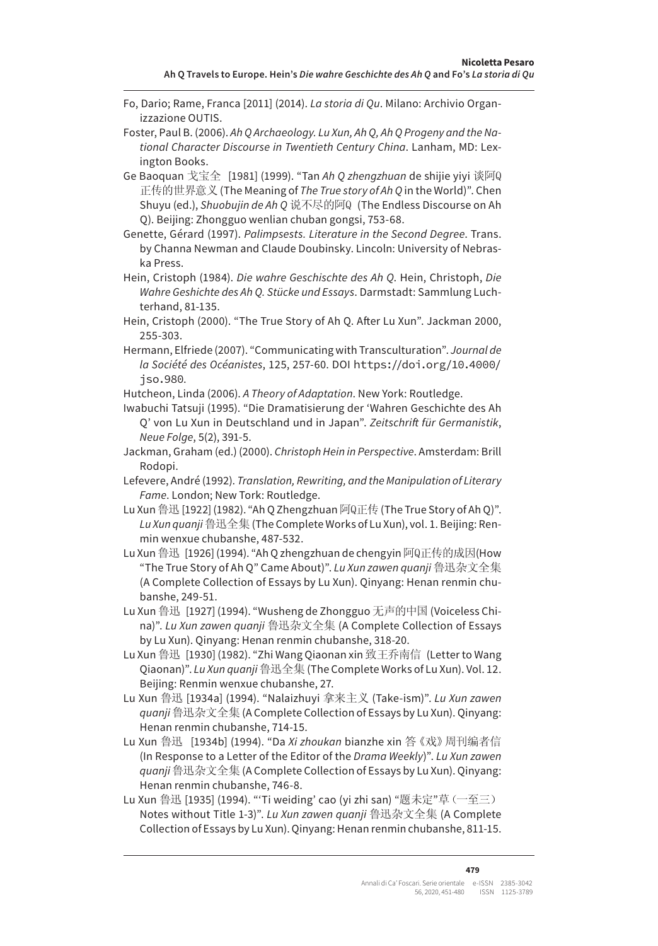- Fo, Dario; Rame, Franca [2011] (2014). *La storia di Qu*. Milano: Archivio Organizzazione OUTIS.
- Foster, Paul B. (2006). *Ah Q Archaeology. Lu Xun, Ah Q, Ah Q Progeny and the National Character Discourse in Twentieth Century China*. Lanham, MD: Lexington Books.
- Ge Baoquan 戈宝全 [1981] (1999). "Tan *Ah Q zhengzhuan* de shijie yiyi 谈阿Q 正传的世界意义 (The Meaning of *The True story of Ah Q* in the World)". Chen Shuyu (ed.), *Shuobujin de Ah Q* 说不尽的阿Q (The Endless Discourse on Ah Q). Beijing: Zhongguo wenlian chuban gongsi, 753-68.
- Genette, Gérard (1997). *Palimpsests. Literature in the Second Degree*. Trans. by Channa Newman and Claude Doubinsky. Lincoln: University of Nebraska Press.
- Hein, Cristoph (1984). *Die wahre Geschischte des Ah Q*. Hein, Christoph, *Die Wahre Geshichte des Ah Q. Stücke und Essays*. Darmstadt: Sammlung Luchterhand, 81-135.
- Hein, Cristoph (2000). "The True Story of Ah Q. After Lu Xun". Jackman 2000, 255-303.
- Hermann, Elfriede (2007). "Communicating with Transculturation". *Journal de la Société des Océanistes*, 125, 257-60. DOI https://doi.org/10.4000/ jso.980.
- Hutcheon, Linda (2006). *A Theory of Adaptation*. New York: Routledge.
- Iwabuchi Tatsuji (1995). "Die Dramatisierung der 'Wahren Geschichte des Ah Q' von Lu Xun in Deutschland und in Japan". *Zeitschrift für Germanistik*, *Neue Folge*, 5(2), 391-5.
- Jackman, Graham (ed.) (2000). *Christoph Hein in Perspective*. Amsterdam: Brill Rodopi.
- Lefevere, André (1992). *Translation, Rewriting, and the Manipulation of Literary Fame*. London; New Tork: Routledge.
- Lu Xun 鲁迅 [1922] (1982). "Ah Q Zhengzhuan 阿Q正传 (The True Story of Ah Q)". *Lu Xun quanji*鲁迅全集 (The Complete Works of Lu Xun), vol. 1. Beijing: Renmin wenxue chubanshe, 487-532.
- Lu Xun 鲁迅 [1926] (1994). "Ah Q zhengzhuan de chengyin 阿Q正传的成因(How "The True Story of Ah Q" Came About)". *Lu Xun zawen quanji* 鲁迅杂文全集 (A Complete Collection of Essays by Lu Xun). Qinyang: Henan renmin chubanshe, 249-51.
- Lu Xun 鲁迅 [1927] (1994). "Wusheng de Zhongguo 无声的中国 (Voiceless China)". *Lu Xun zawen quanji* 鲁迅杂文全集 (A Complete Collection of Essays by Lu Xun). Qinyang: Henan renmin chubanshe, 318-20.
- Lu Xun 鲁迅 [1930] (1982). "Zhi Wang Qiaonan xin 致王乔南信 (Letter to Wang Qiaonan)". *Lu Xun quanji*鲁迅全集 (The Complete Works of Lu Xun). Vol. 12. Beijing: Renmin wenxue chubanshe, 27.
- Lu Xun 鲁迅 [1934a] (1994). "Nalaizhuyi 拿来主义 (Take-ism)". *Lu Xun zawen quanji* 鲁迅杂文全集 (A Complete Collection of Essays by Lu Xun). Qinyang: Henan renmin chubanshe, 714-15.
- Lu Xun 鲁迅 [1934b] (1994). "Da *Xi zhoukan* bianzhe xin 答《戏》周刊编者信 (In Response to a Letter of the Editor of the *Drama Weekly*)". *Lu Xun zawen quanji* 鲁迅杂文全集 (A Complete Collection of Essays by Lu Xun). Qinyang: Henan renmin chubanshe, 746-8.
- Lu Xun 鲁迅 [1935] (1994). "'Ti weiding' cao (yi zhi san) "题未定"草(一至三) Notes without Title 1-3)". *Lu Xun zawen quanji* 鲁迅杂文全集 (A Complete Collection of Essays by Lu Xun). Qinyang: Henan renmin chubanshe, 811-15.